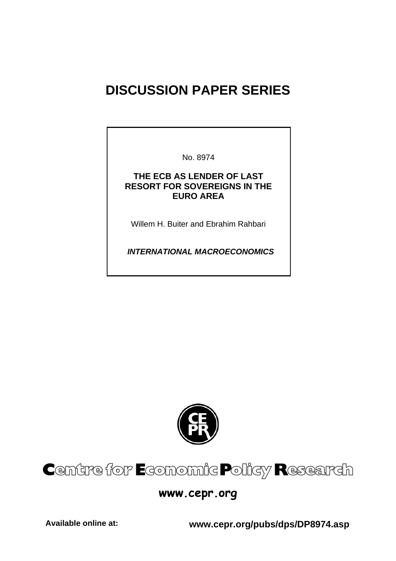# **DISCUSSION PAPER SERIES**

No. 8974

**THE ECB AS LENDER OF LAST RESORT FOR SOVEREIGNS IN THE EURO AREA** 

Willem H. Buiter and Ebrahim Rahbari

 *INTERNATIONAL MACROECONOMICS* 



# Centre for Economic Policy Research

## **www.cepr.org**

**Available online at: www.cepr.org/pubs/dps/DP8974.asp**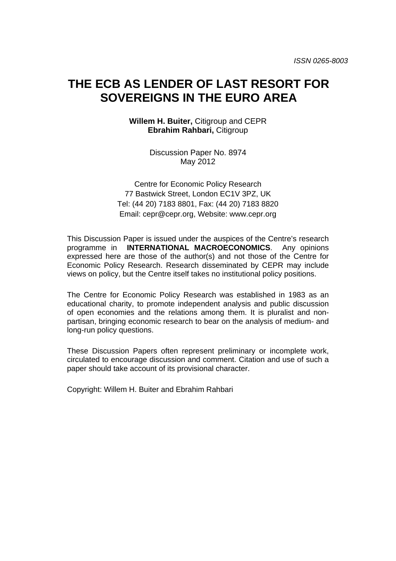## **THE ECB AS LENDER OF LAST RESORT FOR SOVEREIGNS IN THE EURO AREA**

### **Willem H. Buiter,** Citigroup and CEPR **Ebrahim Rahbari,** Citigroup

Discussion Paper No. 8974 May 2012

Centre for Economic Policy Research 77 Bastwick Street, London EC1V 3PZ, UK Tel: (44 20) 7183 8801, Fax: (44 20) 7183 8820 Email: cepr@cepr.org, Website: www.cepr.org

This Discussion Paper is issued under the auspices of the Centre's research programme in **INTERNATIONAL MACROECONOMICS**. Any opinions expressed here are those of the author(s) and not those of the Centre for Economic Policy Research. Research disseminated by CEPR may include views on policy, but the Centre itself takes no institutional policy positions.

The Centre for Economic Policy Research was established in 1983 as an educational charity, to promote independent analysis and public discussion of open economies and the relations among them. It is pluralist and nonpartisan, bringing economic research to bear on the analysis of medium- and long-run policy questions.

These Discussion Papers often represent preliminary or incomplete work, circulated to encourage discussion and comment. Citation and use of such a paper should take account of its provisional character.

Copyright: Willem H. Buiter and Ebrahim Rahbari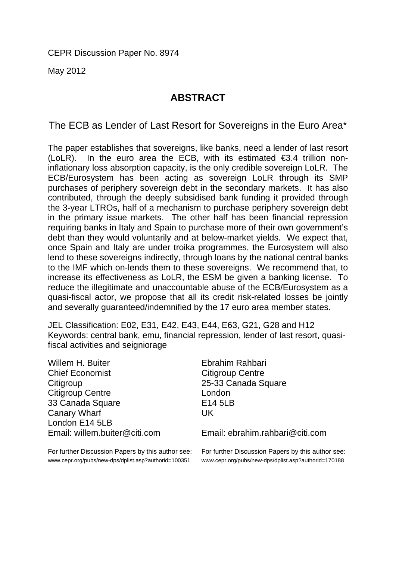CEPR Discussion Paper No. 8974

May 2012

## **ABSTRACT**

The ECB as Lender of Last Resort for Sovereigns in the Euro Area\*

The paper establishes that sovereigns, like banks, need a lender of last resort (LoLR). In the euro area the ECB, with its estimated  $\epsilon$ 3.4 trillion noninflationary loss absorption capacity, is the only credible sovereign LoLR. The ECB/Eurosystem has been acting as sovereign LoLR through its SMP purchases of periphery sovereign debt in the secondary markets. It has also contributed, through the deeply subsidised bank funding it provided through the 3-year LTROs, half of a mechanism to purchase periphery sovereign debt in the primary issue markets. The other half has been financial repression requiring banks in Italy and Spain to purchase more of their own government's debt than they would voluntarily and at below-market yields. We expect that, once Spain and Italy are under troika programmes, the Eurosystem will also lend to these sovereigns indirectly, through loans by the national central banks to the IMF which on-lends them to these sovereigns. We recommend that, to increase its effectiveness as LoLR, the ESM be given a banking license. To reduce the illegitimate and unaccountable abuse of the ECB/Eurosystem as a quasi-fiscal actor, we propose that all its credit risk-related losses be jointly and severally guaranteed/indemnified by the 17 euro area member states.

JEL Classification: E02, E31, E42, E43, E44, E63, G21, G28 and H12 Keywords: central bank, emu, financial repression, lender of last resort, quasifiscal activities and seigniorage

| Willem H. Buiter              | Ebrahim Rahbari                 |
|-------------------------------|---------------------------------|
| <b>Chief Economist</b>        | <b>Citigroup Centre</b>         |
| Citigroup                     | 25-33 Canada Square             |
| <b>Citigroup Centre</b>       | London                          |
| 33 Canada Square              | E14 5LB                         |
| <b>Canary Wharf</b>           | UK.                             |
| London E14 5LB                |                                 |
| Email: willem.buiter@citi.com | Email: ebrahim.rahbari@citi.com |
|                               |                                 |

For further Discussion Papers by this author see: www.cepr.org/pubs/new-dps/dplist.asp?authorid=100351

For further Discussion Papers by this author see: www.cepr.org/pubs/new-dps/dplist.asp?authorid=170188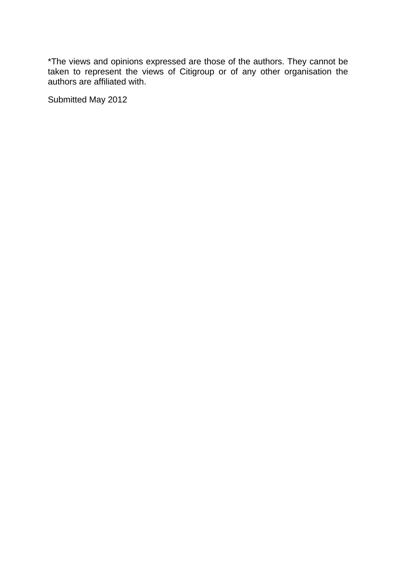\*The views and opinions expressed are those of the authors. They cannot be taken to represent the views of Citigroup or of any other organisation the authors are affiliated with.

Submitted May 2012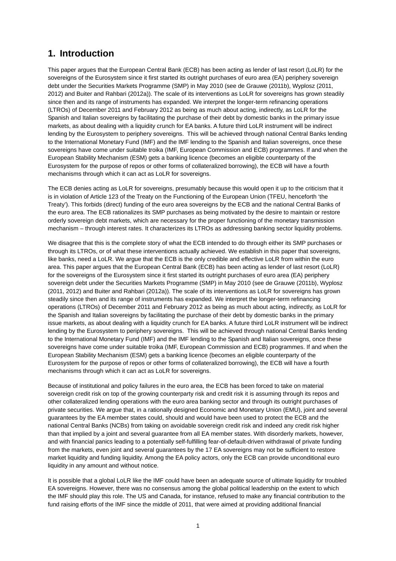## **1. Introduction**

This paper argues that the European Central Bank (ECB) has been acting as lender of last resort (LoLR) for the sovereigns of the Eurosystem since it first started its outright purchases of euro area (EA) periphery sovereign debt under the Securities Markets Programme (SMP) in May 2010 (see de Grauwe (2011b), Wyplosz (2011, 2012) and Buiter and Rahbari (2012a)). The scale of its interventions as LoLR for sovereigns has grown steadily since then and its range of instruments has expanded. We interpret the longer-term refinancing operations (LTROs) of December 2011 and February 2012 as being as much about acting, indirectly, as LoLR for the Spanish and Italian sovereigns by facilitating the purchase of their debt by domestic banks in the primary issue markets, as about dealing with a liquidity crunch for EA banks. A future third LoLR instrument will be indirect lending by the Eurosystem to periphery sovereigns. This will be achieved through national Central Banks lending to the International Monetary Fund (IMF) and the IMF lending to the Spanish and Italian sovereigns, once these sovereigns have come under suitable troika (IMF, European Commission and ECB) programmes. If and when the European Stability Mechanism (ESM) gets a banking licence (becomes an eligible counterparty of the Eurosystem for the purpose of repos or other forms of collateralized borrowing), the ECB will have a fourth mechanisms through which it can act as LoLR for sovereigns.

The ECB denies acting as LoLR for sovereigns, presumably because this would open it up to the criticism that it is in violation of Article 123 of the Treaty on the Functioning of the European Union (TFEU, henceforth 'the Treaty'). This forbids (direct) funding of the euro area sovereigns by the ECB and the national Central Banks of the euro area. The ECB rationalizes its SMP purchases as being motivated by the desire to maintain or restore orderly sovereign debt markets, which are necessary for the proper functioning of the monetary transmission mechanism – through interest rates. It characterizes its LTROs as addressing banking sector liquidity problems.

We disagree that this is the complete story of what the ECB intended to do through either its SMP purchases or through its LTROs, or of what these interventions actually achieved. We establish in this paper that sovereigns, like banks, need a LoLR. We argue that the ECB is the only credible and effective LoLR from within the euro area. This paper argues that the European Central Bank (ECB) has been acting as lender of last resort (LoLR) for the sovereigns of the Eurosystem since it first started its outright purchases of euro area (EA) periphery sovereign debt under the Securities Markets Programme (SMP) in May 2010 (see de Grauwe (2011b), Wyplosz (2011, 2012) and Buiter and Rahbari (2012a)). The scale of its interventions as LoLR for sovereigns has grown steadily since then and its range of instruments has expanded. We interpret the longer-term refinancing operations (LTROs) of December 2011 and February 2012 as being as much about acting, indirectly, as LoLR for the Spanish and Italian sovereigns by facilitating the purchase of their debt by domestic banks in the primary issue markets, as about dealing with a liquidity crunch for EA banks. A future third LoLR instrument will be indirect lending by the Eurosystem to periphery sovereigns. This will be achieved through national Central Banks lending to the International Monetary Fund (IMF) and the IMF lending to the Spanish and Italian sovereigns, once these sovereigns have come under suitable troika (IMF, European Commission and ECB) programmes. If and when the European Stability Mechanism (ESM) gets a banking licence (becomes an eligible counterparty of the Eurosystem for the purpose of repos or other forms of collateralized borrowing), the ECB will have a fourth mechanisms through which it can act as LoLR for sovereigns.

Because of institutional and policy failures in the euro area, the ECB has been forced to take on material sovereign credit risk on top of the growing counterparty risk and credit risk it is assuming through its repos and other collateralized lending operations with the euro area banking sector and through its outright purchases of private securities. We argue that, in a rationally designed Economic and Monetary Union (EMU), joint and several guarantees by the EA member states could, should and would have been used to protect the ECB and the national Central Banks (NCBs) from taking on avoidable sovereign credit risk and indeed any credit risk higher than that implied by a joint and several guarantee from all EA member states. With disorderly markets, however, and with financial panics leading to a potentially self-fulfilling fear-of-default-driven withdrawal of private funding from the markets, even joint and several guarantees by the 17 EA sovereigns may not be sufficient to restore market liquidity and funding liquidity. Among the EA policy actors, only the ECB can provide unconditional euro liquidity in any amount and without notice.

It is possible that a global LoLR like the IMF could have been an adequate source of ultimate liquidity for troubled EA sovereigns. However, there was no consensus among the global political leadership on the extent to which the IMF should play this role. The US and Canada, for instance, refused to make any financial contribution to the fund raising efforts of the IMF since the middle of 2011, that were aimed at providing additional financial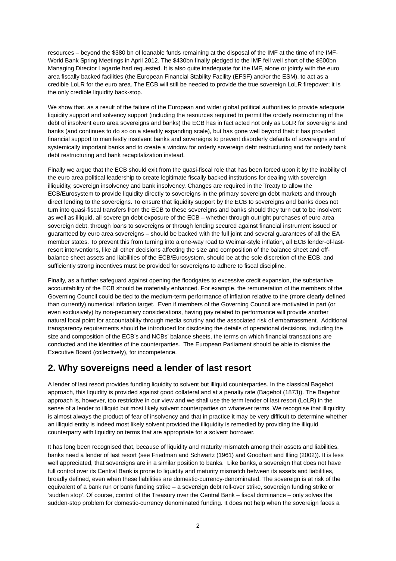resources – beyond the \$380 bn of loanable funds remaining at the disposal of the IMF at the time of the IMF-World Bank Spring Meetings in April 2012. The \$430bn finally pledged to the IMF fell well short of the \$600bn Managing Director Lagarde had requested. It is also quite inadequate for the IMF, alone or jointly with the euro area fiscally backed facilities (the European Financial Stability Facility (EFSF) and/or the ESM), to act as a credible LoLR for the euro area. The ECB will still be needed to provide the true sovereign LoLR firepower; it is the only credible liquidity back-stop.

We show that, as a result of the failure of the European and wider global political authorities to provide adequate liquidity support and solvency support (including the resources required to permit the orderly restructuring of the debt of insolvent euro area sovereigns and banks) the ECB has in fact acted not only as LoLR for sovereigns and banks (and continues to do so on a steadily expanding scale), but has gone well beyond that: it has provided financial support to manifestly insolvent banks and sovereigns to prevent disorderly defaults of sovereigns and of systemically important banks and to create a window for orderly sovereign debt restructuring and for orderly bank debt restructuring and bank recapitalization instead.

Finally we argue that the ECB should exit from the quasi-fiscal role that has been forced upon it by the inability of the euro area political leadership to create legitimate fiscally backed institutions for dealing with sovereign illiquidity, sovereign insolvency and bank insolvency. Changes are required in the Treaty to allow the ECB/Eurosystem to provide liquidity directly to sovereigns in the primary sovereign debt markets and through direct lending to the sovereigns. To ensure that liquidity support by the ECB to sovereigns and banks does not turn into quasi-fiscal transfers from the ECB to these sovereigns and banks should they turn out to be insolvent as well as illiquid, all sovereign debt exposure of the ECB – whether through outright purchases of euro area sovereign debt, through loans to sovereigns or through lending secured against financial instrument issued or guaranteed by euro area sovereigns – should be backed with the full joint and several guarantees of all the EA member states. To prevent this from turning into a one-way road to Weimar-style inflation, all ECB lender-of-lastresort interventions, like all other decisions affecting the size and composition of the balance sheet and offbalance sheet assets and liabilities of the ECB/Eurosystem, should be at the sole discretion of the ECB, and sufficiently strong incentives must be provided for sovereigns to adhere to fiscal discipline.

Finally, as a further safeguard against opening the floodgates to excessive credit expansion, the substantive accountability of the ECB should be materially enhanced. For example, the remuneration of the members of the Governing Council could be tied to the medium-term performance of inflation relative to the (more clearly defined than currently) numerical inflation target. Even if members of the Governing Council are motivated in part (or even exclusively) by non-pecuniary considerations, having pay related to performance will provide another natural focal point for accountability through media scrutiny and the associated risk of embarrassment. Additional transparency requirements should be introduced for disclosing the details of operational decisions, including the size and composition of the ECB's and NCBs' balance sheets, the terms on which financial transactions are conducted and the identities of the counterparties. The European Parliament should be able to dismiss the Executive Board (collectively), for incompetence.

### **2. Why sovereigns need a lender of last resort**

A lender of last resort provides funding liquidity to solvent but illiquid counterparties. In the classical Bagehot approach, this liquidity is provided against good collateral and at a penalty rate (Bagehot (1873)). The Bagehot approach is, however, too restrictive in our view and we shall use the term lender of last resort (LoLR) in the sense of a lender to illiquid but most likely solvent counterparties on whatever terms. We recognise that illiquidity is almost always the product of fear of insolvency and that in practice it may be very difficult to determine whether an illiquid entity is indeed most likely solvent provided the illiquidity is remedied by providing the illiquid counterparty with liquidity on terms that are appropriate for a solvent borrower.

It has long been recognised that, because of liquidity and maturity mismatch among their assets and liabilities, banks need a lender of last resort (see Friedman and Schwartz (1961) and Goodhart and Illing (2002)). It is less well appreciated, that sovereigns are in a similar position to banks. Like banks, a sovereign that does not have full control over its Central Bank is prone to liquidity and maturity mismatch between its assets and liabilities, broadly defined, even when these liabilities are domestic-currency-denominated. The sovereign is at risk of the equivalent of a bank run or bank funding strike – a sovereign debt roll-over strike, sovereign funding strike or 'sudden stop'. Of course, control of the Treasury over the Central Bank – fiscal dominance – only solves the sudden-stop problem for domestic-currency denominated funding. It does not help when the sovereign faces a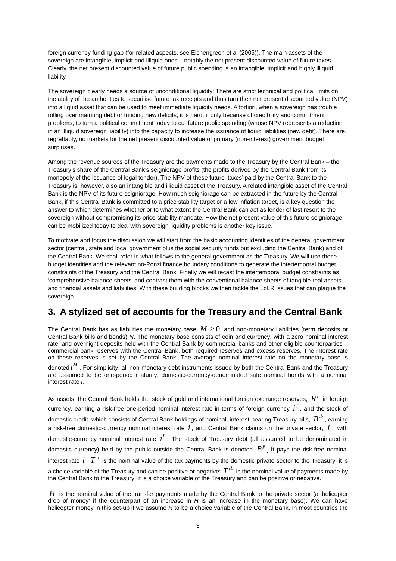foreign currency funding gap (for related aspects, see Eichengreen et al (2005)). The main assets of the sovereign are intangible, implicit and illiquid ones – notably the net present discounted value of future taxes. Clearly, the net present discounted value of future public spending is an intangible, implicit and highly illiquid liability.

The sovereign clearly needs a source of unconditional liquidity: There are strict technical and political limits on the ability of the authorities to securitise future tax receipts and thus turn their net present discounted value (NPV) into a liquid asset that can be used to meet immediate liquidity needs. A fortiori, when a sovereign has trouble rolling over maturing debt or funding new deficits, it is hard, if only because of credibility and commitment problems, to turn a political commitment today to cut future public spending (whose NPV represents a reduction in an illiquid sovereign liability) into the capacity to increase the issuance of liquid liabilities (new debt). There are, regrettably, no markets for the net present discounted value of primary (non-interest) government budget surpluses.

Among the revenue sources of the Treasury are the payments made to the Treasury by the Central Bank – the Treasury's share of the Central Bank's seigniorage profits (the profits derived by the Central Bank from its monopoly of the issuance of legal tender). The NPV of these future 'taxes' paid by the Central Bank to the Treasury is, however, also an intangible and illiquid asset of the Treasury. A related intangible asset of the Central Bank is the NPV of its future seigniorage. How much seigniorage can be extracted in the future by the Central Bank, if this Central Bank is committed to a price stability target or a low inflation target, is a key question the answer to which determines whether or to what extent the Central Bank can act as lender of last resort to the sovereign without compromising its price stability mandate. How the net present value of this future seigniorage can be mobilized today to deal with sovereign liquidity problems is another key issue.

To motivate and focus the discussion we will start from the basic accounting identities of the general government sector (central, state and local government plus the social security funds but excluding the Central Bank) and of the Central Bank. We shall refer in what follows to the general government as the Treasury. We will use these budget identities and the relevant no-Ponzi finance boundary conditions to generate the intertemporal budget constraints of the Treasury and the Central Bank. Finally we will recast the intertemporal budget constraints as 'comprehensive balance sheets' and contrast them with the conventional balance sheets of tangible real assets and financial assets and liabilities. With these building blocks we then tackle the LoLR issues that can plague the sovereign.

## **3. A stylized set of accounts for the Treasury and the Central Bank**

The Central Bank has as liabilities the monetary base  $M \geq 0$  and non-monetary liabilities (term deposits or Central Bank bills and bonds) *N*. The monetary base consists of coin and currency, with a zero nominal interest rate, and overnight deposits held with the Central Bank by commercial banks and other eligible counterparties – commercial bank reserves with the Central Bank, both required reserves and excess reserves. The interest rate on these reserves is set by the Central Bank. The average nominal interest rate on the monetary base is denoted  $i^M$  . For simplicity, all non-monetary debt instruments issued by both the Central Bank and the Treasury

are assumed to be one-period maturity, domestic-currency-denominated safe nominal bonds with a nominal interest rate *i*.

As assets, the Central Bank holds the stock of gold and international foreign exchange reserves,  $R^f$  in foreign currency, earning a risk-free one-period nominal interest rate in terms of foreign currency *<sup>f</sup> i* , and the stock of domestic credit, which consists of Central Bank holdings of nominal, interest-bearing Treasury bills,  $B^{cb}$  , earning a risk-free domestic-currency nominal interest rate *i* , and Central Bank claims on the private sector, *L* , with domestic-currency nominal interest rate  $i^L$ . The stock of Treasury debt (all assumed to be denominated in domestic currency) held by the public outside the Central Bank is denoted  $B^p$ <sub>.</sub> It pays the risk-free nominal interest rate  $i$ ;  $T^p$  is the nominal value of the tax payments by the domestic private sector to the Treasury; it is a choice variable of the Treasury and can be positive or negative:  $T^{cb}$  is the nominal value of payments made by the Central Bank to the Treasury; it is a choice variable of the Treasury and can be positive or negative.

*H* is the nominal value of the transfer payments made by the Central Bank to the private sector (a 'helicopter drop of money' if the counterpart of an increase in *H* is an increase in the monetary base). We can have helicopter money in this set-up if we assume *H* to be a choice variable of the Central Bank. In most countries the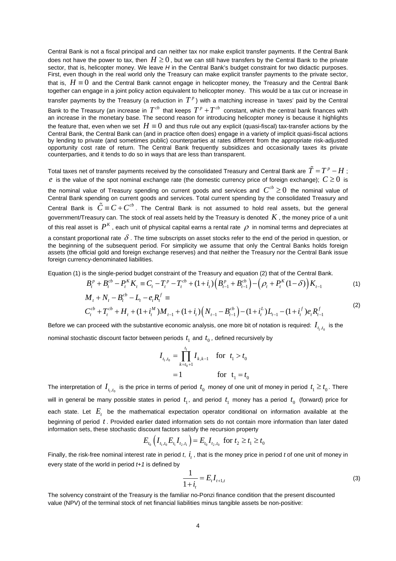Central Bank is not a fiscal principal and can neither tax nor make explicit transfer payments. If the Central Bank does not have the power to tax, then  $H \geq 0$ , but we can still have transfers by the Central Bank to the private sector, that is, helicopter money. We leave *H* in the Central Bank's budget constraint for two didactic purposes. First, even though in the real world only the Treasury can make explicit transfer payments to the private sector, that is,  $H \equiv 0$  and the Central Bank cannot engage in helicopter money, the Treasury and the Central Bank together can engage in a joint policy action equivalent to helicopter money. This would be a tax cut or increase in transfer payments by the Treasury (a reduction in  $T^p$ ) with a matching increase in 'taxes' paid by the Central Bank to the Treasury (an increase in  $T^{cb}$  that keeps  $T^p + T^{cb}$  constant, which the central bank finances with an increase in the monetary base. The second reason for introducing helicopter money is because it highlights the feature that, even when we set  $H \equiv 0$  and thus rule out any explicit (quasi-fiscal) tax-transfer actions by the Central Bank, the Central Bank can (and in practice often does) engage in a variety of implicit quasi-fiscal actions by lending to private (and sometimes public) counterparties at rates different from the appropriate risk-adjusted opportunity cost rate of return. The Central Bank frequently subsidizes and occasionally taxes its private counterparties, and it tends to do so in ways that are less than transparent.

Total taxes net of transfer payments received by the consolidated Treasury and Central Bank are  $\tilde{T}=T^{\,p}-H$  ; *e* is the value of the spot nominal exchange rate (the domestic currency price of foreign exchange);  $C \geq 0$  is the nominal value of Treasury spending on current goods and services and  $C^{cb} \geq 0$  the nominal value of Central Bank spending on current goods and services. Total current spending by the consolidated Treasury and Central Bank is  $\tilde{C} \equiv C + C^{cb}$ . The Central Bank is not assumed to hold real assets, but the general government/Treasury can. The stock of real assets held by the Treasury is denoted *K* , the money price of a unit of this real asset is  $P^{K}$ , each unit of physical capital earns a rental rate  $\rho$  in nominal terms and depreciates at a constant proportional rate  $\delta$ . The time subscripts on asset stocks refer to the end of the period in question, or the beginning of the subsequent period. For simplicity we assume that only the Central Banks holds foreign assets (the official gold and foreign exchange reserves) and that neither the Treasury nor the Central Bank issue foreign currency-denominated liabilities.

Equation (1) is the single-period budget constraint of the Treasury and equation (2) that of the Central Bank.

$$
B_t^p + B_t^{cb} - P_t^K K_t \equiv C_t - T_t^p - T_t^{cb} + (1 + i_t) \left( B_{t-1}^p + B_{t-1}^{cb} \right) - \left( \rho_t + P_t^K (1 - \delta) \right) K_{t-1}
$$
  
\n
$$
M_t + N_t - B_t^{cb} - L_t - e_t R_t^f \equiv
$$
  
\n
$$
G^{cb} + T^{cb} + H + (1 + i^M)M_t + (1 + i) \left( M_t - B_t^{cb} \right) - (1 + i^L)I_t - (1 + i^L) \circ P_t^f
$$
\n(2)

$$
C_t^{cb} + T_t^{cb} + H_t + (1 + i_t^M)M_{t-1} + (1 + i_t)\left(N_{t-1} - B_{t-1}^{cb}\right) - (1 + i_t^L)L_{t-1} - (1 + i_t^f)e_tR_{t-1}^f
$$
  
Before we can proceed with the substantive economic analysis, one more bit of notation is required:  $I_{t_1, t_0}$  is the

nominal stochastic discount factor between periods  $t_1$  and  $t_0$  , defined recursively by

$$
I_{t_1, t_0} = \prod_{k=t_0+1}^{t_1} I_{k, k-1} \quad \text{for} \quad t_1 > t_0
$$
  
= 1 \qquad \qquad \text{for} \quad t\_1 = t\_0

The interpretation of  $I_{t_1,t_0}$  is the price in terms of period  $t_0$  money of one unit of money in period  $t_1 \ge t_0$ . There will in general be many possible states in period  $t_1$ , and period  $t_1$  money has a period  $t_0$  (forward) price for each state. Let *Et* be the mathematical expectation operator conditional on information available at the beginning of period *t* . Provided earlier dated information sets do not contain more information than later dated information sets, these stochastic discount factors satisfy the recursion property

$$
E_{t_0}\left(I_{t_1,t_0}E_{t_1}I_{t_2,t_1}\right) = E_{t_0}I_{t_2,t_0} \text{ for } t_2 \ge t_1 \ge t_0
$$

Finally, the risk-free nominal interest rate in period *t*,  $i_t$ , that is the money price in period *t* of one unit of money in every state of the world in period *t+1* is defined by

$$
\frac{1}{1+i_t} = E_t I_{t+1,t}
$$
 (3)

The solvency constraint of the Treasury is the familiar no-Ponzi finance condition that the present discounted value (NPV) of the terminal stock of net financial liabilities minus tangible assets be non-positive: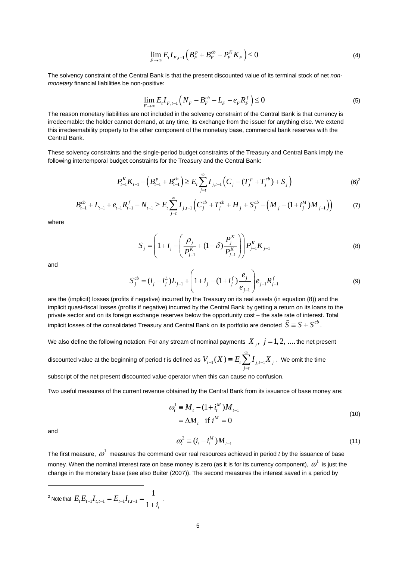$$
\lim_{F \to \infty} E_t I_{F,t-1} \left( B_F^p + B_F^{cb} - P_F^K K_F \right) \le 0 \tag{4}
$$

The solvency constraint of the Central Bank is that the present discounted value of its terminal stock of net *nonmonetary* financial liabilities be non-positive:

$$
\lim_{F \to \infty} E_t I_{F,t-1} \left( N_F - B_F^{cb} - L_F - e_F R_F^f \right) \le 0 \tag{5}
$$

The reason monetary liabilities are not included in the solvency constraint of the Central Bank is that currency is irredeemable: the holder cannot demand, at any time, its exchange from the issuer for anything else. We extend this irredeemability property to the other component of the monetary base, commercial bank reserves with the Central Bank.

These solvency constraints and the single-period budget constraints of the Treasury and Central Bank imply the following intertemporal budget constraints for the Treasury and the Central Bank:

$$
P_{t-1}^{K}K_{t-1} - \left(B_{t-1}^{p} + B_{t-1}^{cb}\right) \ge E_{t}\sum_{j=t}^{\infty} I_{j,t-1}\left(C_{j} - \left(T_{j}^{p} + T_{j}^{cb}\right) + S_{j}\right)
$$
\n(6)<sup>2</sup>

$$
B_{t-1}^{cb} + L_{t-1} + e_{t-1}R_{t-1}^{f} - N_{t-1} \ge E_t \sum_{j=t}^{\infty} I_{j,t-1} \left( C_j^{cb} + T_j^{cb} + H_j + S_j^{cb} - \left( M_j - (1 + i_j^{M}) M_{j-1} \right) \right)
$$
(7)

where

$$
S_j = \left(1 + i_j - \left(\frac{\rho_j}{P_{j-1}^K} + (1 - \delta)\frac{P_j^K}{P_{j-1}^K}\right)\right) P_{j-1}^K K_{j-1}
$$
\n(8)

and

$$
S_j^{cb} = (i_j - i_j^L)L_{j-1} + \left(1 + i_j - (1 + i_j^f) \frac{e_j}{e_{j-1}}\right) e_{j-1} R_{j-1}^f
$$
\n(9)

are the (implicit) losses (profits if negative) incurred by the Treasury on its real assets (in equation (8)) and the implicit quasi-fiscal losses (profits if negative) incurred by the Central Bank by getting a return on its loans to the private sector and on its foreign exchange reserves below the opportunity cost – the safe rate of interest. Total implicit losses of the consolidated Treasury and Central Bank on its portfolio are denoted  $\tilde{S} = S + S^{cb}$ .

We also define the following notation: For any stream of nominal payments  $X_i$ ,  $j = 1,2, ...$  the net present

discounted value at the beginning of period *t* is defined as  $V_{_{t-1}}(X)$   $\equiv$   $E_{_{t}}\sum I_{_{j,t-1}}X_{_{j}}$  $j = t$  $V_{t-1}(X) \equiv E_{t} \sum I_{i,t-1} X$  $\infty$  $-1^{(N)}-L_t\sum_{i,t}$  $\equiv E_{t}\sum_{j=t}I_{j,t-1}X_{j}$  . We omit the time

subscript of the net present discounted value operator when this can cause no confusion.

Two useful measures of the current revenue obtained by the Central Bank from its issuance of base money are:

$$
\omega_t^1 \equiv M_t - (1 + i_t^M) M_{t-1} \n= \Delta M_t \text{ if } i^M = 0
$$
\n(10)

and

-

$$
\omega_i^2 \equiv (i_t - i_t^M) M_{t-1}
$$
 (11)

The first measure,  $\omega^1$  measures the command over real resources achieved in period *t* by the issuance of base money. When the nominal interest rate on base money is zero (as it is for its currency component),  $\omega^1$  is just the change in the monetary base (see also Buiter (2007)). The second measures the interest saved in a period by

<sup>2</sup> Note that 
$$
E_t E_{t-1} I_{t,t-1} = E_{t-1} I_{t,t-1} = \frac{1}{1+i_t}
$$
.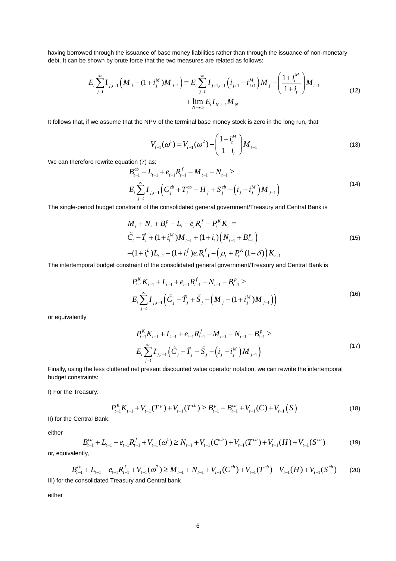having borrowed through the issuance of base money liabilities rather than through the issuance of non-monetary debt. It can be shown by brute force that the two measures are related as follows:

$$
E_{t} \sum_{j=t}^{\infty} \mathbf{I}_{j,t-1} \left( M_{j} - (1+i_{j}^{M}) M_{j-1} \right) \equiv E_{t} \sum_{j=t}^{\infty} I_{j+1,t-1} \left( i_{j+1} - i_{j+1}^{M} \right) M_{j} - \left( \frac{1+i_{t}^{M}}{1+i_{t}} \right) M_{t-1} + \lim_{N \to \infty} E_{t} I_{N,t-1} M_{N}
$$
\n(12)

It follows that, if we assume that the NPV of the terminal base money stock is zero in the long run, that

$$
V_{t-1}(\omega^1) = V_{t-1}(\omega^2) - \left(\frac{1 + i_t^M}{1 + i_t}\right) M_{t-1}
$$
\n(13)

We can therefore rewrite equation (7) as:

$$
B_{t-1}^{cb} + L_{t-1} + e_{t-1}R_{t-1}^{f} - M_{t-1} - N_{t-1} \ge
$$
  
\n
$$
E_{t} \sum_{j=t}^{\infty} I_{j,t-1} \left( C_{j}^{cb} + T_{j}^{cb} + H_{j} + S_{j}^{cb} - (i_{j} - i_{j}^{M}) M_{j-1} \right)
$$
\n(14)

The single-period budget constraint of the consolidated general government/Treasury and Central Bank is

$$
M_{t} + N_{t} + B_{t}^{p} - L_{t} - e_{t} R_{t}^{f} - P_{t}^{K} K_{t} \equiv
$$
  
\n
$$
\tilde{C}_{t} - \tilde{T}_{t} + (1 + i_{t}^{M}) M_{t-1} + (1 + i_{t}) (N_{t-1} + B_{t-1}^{p})
$$
  
\n
$$
-(1 + i_{t}^{L}) L_{t-1} - (1 + i_{t}^{f}) e_{t} R_{t-1}^{f} - \left(\rho_{t} + P_{t}^{K} (1 - \delta)\right) K_{t-1}
$$
\n(15)

The intertemporal budget constraint of the consolidated general government/Treasury and Central Bank is

$$
P_{t-1}^{K} K_{t-1} + L_{t-1} + e_{t-1} R_{t-1}^{f} - N_{t-1} - B_{t-1}^{p} \ge
$$
  
\n
$$
E_{t} \sum_{j=t}^{\infty} I_{j,t-1} \left( \tilde{C}_{j} - \tilde{T}_{j} + \tilde{S}_{j} - \left( M_{j} - (1 + i_{j}^{M}) M_{j-1} \right) \right)
$$
\n(16)

or equivalently

$$
P_{t-1}^{K}K_{t-1} + L_{t-1} + e_{t-1}R_{t-1}^{f} - M_{t-1} - N_{t-1} - B_{t-1}^{p} \ge
$$
  
\n
$$
E_{t} \sum_{j=t}^{\infty} I_{j,t-1} \left( \tilde{C}_{j} - \tilde{T}_{j} + \tilde{S}_{j} - (i_{j} - i_{j}^{M}) M_{j-1} \right)
$$
\n(17)

Finally, using the less cluttered net present discounted value operator notation, we can rewrite the intertemporal budget constraints:

I) For the Treasury:

$$
P_{t-1}^{K}K_{t-1} + V_{t-1}(T^{\,p}) + V_{t-1}(T^{cb}) \geq B_{t-1}^{p} + B_{t-1}^{cb} + V_{t-1}(C) + V_{t-1}(S)
$$
\n<sup>(18)</sup>

II) for the Central Bank:

either

$$
B_{t-1}^{cb} + L_{t-1} + e_{t-1}R_{t-1}^{f} + V_{t-1}(\omega^{1}) \ge N_{t-1} + V_{t-1}(C^{cb}) + V_{t-1}(T^{cb}) + V_{t-1}(H) + V_{t-1}(S^{cb})
$$
\n
$$
(19)
$$

or, equivalently,

$$
B_{t-1}^{cb} + L_{t-1} + e_{t-1}R_{t-1}^{f} + V_{t-1}(\omega^{2}) \ge M_{t-1} + N_{t-1} + V_{t-1}(C^{cb}) + V_{t-1}(T^{cb}) + V_{t-1}(H) + V_{t-1}(S^{cb})
$$
 (20)

III) for the consolidated Treasury and Central bank

either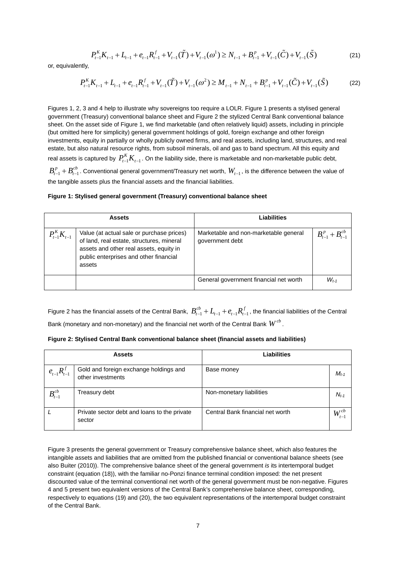$$
P_{t-1}^{K}K_{t-1} + L_{t-1} + e_{t-1}R_{t-1}^{f} + V_{t-1}(\tilde{T}) + V_{t-1}(\omega^{1}) \ge N_{t-1} + B_{t-1}^{p} + V_{t-1}(\tilde{C}) + V_{t-1}(\tilde{S})
$$
\n(21)

or, equivalently,

$$
P_{t-1}^{K}K_{t-1} + L_{t-1} + e_{t-1}R_{t-1}^{f} + V_{t-1}(\tilde{T}) + V_{t-1}(\omega^{2}) \geq M_{t-1} + N_{t-1} + B_{t-1}^{p} + V_{t-1}(\tilde{C}) + V_{t-1}(\tilde{S})
$$
\n(22)

Figures 1, 2, 3 and 4 help to illustrate why sovereigns too require a LOLR. Figure 1 presents a stylised general government (Treasury) conventional balance sheet and Figure 2 the stylized Central Bank conventional balance sheet. On the asset side of Figure 1, we find marketable (and often relatively liquid) assets, including in principle (but omitted here for simplicity) general government holdings of gold, foreign exchange and other foreign investments, equity in partially or wholly publicly owned firms, and real assets, including land, structures, and real estate, but also natural resource rights, from subsoil minerals, oil and gas to band spectrum. All this equity and real assets is captured by  $\,P_{t-1}^K K_{t-1}\,.$  On the liability side, there is marketable and non-marketable public debt,  $B_{t-1}^p+B_{t-1}^{cb}$  . Conventional general government/Treasury net worth,  $\,W_{t-1}^+$ , is the difference between the value of the tangible assets plus the financial assets and the financial liabilities.

|  |  |  | Figure 1: Stylised general government (Treasury) conventional balance sheet |
|--|--|--|-----------------------------------------------------------------------------|
|  |  |  |                                                                             |

| <b>Assets</b>        |                                                                                                                                                                                       | Liabilities                                              |           |
|----------------------|---------------------------------------------------------------------------------------------------------------------------------------------------------------------------------------|----------------------------------------------------------|-----------|
| $P_{t-1}^{K}K_{t-1}$ | Value (at actual sale or purchase prices)<br>of land, real estate, structures, mineral<br>assets and other real assets, equity in<br>public enterprises and other financial<br>assets | Marketable and non-marketable general<br>government debt |           |
|                      |                                                                                                                                                                                       | General government financial net worth                   | $W_{t-1}$ |

Figure 2 has the financial assets of the Central Bank,  $B_{t-1}^{cb}+L_{t-1}+e_{t-1}R_{t-1}^f$ , the financial liabilities of the Central Bank (monetary and non-monetary) and the financial net worth of the Central Bank  $W^{cb}$ .

**Figure 2: Stylised Central Bank conventional balance sheet (financial assets and liabilities)** 

| <b>Assets</b>        |                                                             | <b>Liabilities</b>               |                |
|----------------------|-------------------------------------------------------------|----------------------------------|----------------|
| $e_{t-1}R_{t-1}^{f}$ | Gold and foreign exchange holdings and<br>other investments | Base money                       | $M_{t-1}$      |
| $B_{t-1}^{cb}$       | Treasury debt                                               | Non-monetary liabilities         | $N_{t-1}$      |
|                      | Private sector debt and loans to the private<br>sector      | Central Bank financial net worth | $W_{t-1}^{cb}$ |

Figure 3 presents the general government or Treasury comprehensive balance sheet, which also features the intangible assets and liabilities that are omitted from the published financial or conventional balance sheets (see also Buiter (2010)). The comprehensive balance sheet of the general government *is* its intertemporal budget constraint (equation (18)), with the familiar no-Ponzi finance terminal condition imposed: the net present discounted value of the terminal conventional net worth of the general government must be non-negative. Figures 4 and 5 present two equivalent versions of the Central Bank's comprehensive balance sheet, corresponding, respectively to equations (19) and (20), the two equivalent representations of the intertemporal budget constraint of the Central Bank.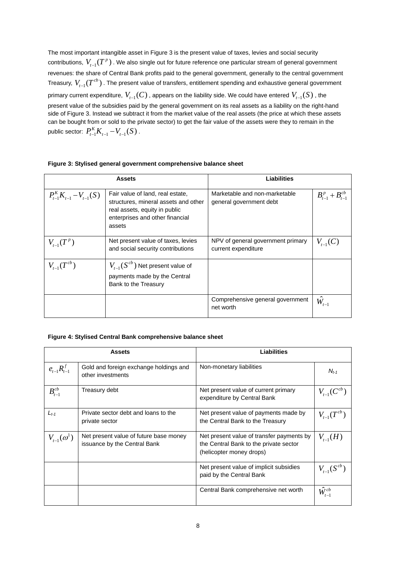The most important intangible asset in Figure 3 is the present value of taxes, levies and social security contributions,  $V_{t-1}(T^p)$ . We also single out for future reference one particular stream of general government revenues: the share of Central Bank profits paid to the general government, generally to the central government Treasury,  $V_{t-1}(T^{cb})$ . The present value of transfers, entitlement spending and exhaustive general government primary current expenditure,  $V_{t-1}(C)$  , appears on the liability side. We could have entered  $V_{t-1}(S)$  , the present value of the subsidies paid by the general government on its real assets as a liability on the right-hand side of Figure 3. Instead we subtract it from the market value of the real assets (the price at which these assets can be bought from or sold to the private sector) to get the fair value of the assets were they to remain in the public sector:  $P_{t-1}^{K} K_{t-1} - V_{t-1}(S)$ .

#### **Figure 3: Stylised general government comprehensive balance sheet**

|                                  | <b>Assets</b>                                                                                                                                          | <b>Liabilities</b>                                       |                            |
|----------------------------------|--------------------------------------------------------------------------------------------------------------------------------------------------------|----------------------------------------------------------|----------------------------|
| $P_{t-1}^K K_{t-1} - V_{t-1}(S)$ | Fair value of land, real estate,<br>structures, mineral assets and other<br>real assets, equity in public<br>enterprises and other financial<br>assets | Marketable and non-marketable<br>general government debt | $B_{t-1}^p + B_{t-1}^{cb}$ |
| $V_{t-1}(T^p)$                   | Net present value of taxes, levies<br>and social security contributions                                                                                | NPV of general government primary<br>current expenditure | $V_{t-1}(C)$               |
| $V_{t-1}(T^{cb})$                | $V_{t-1}(S^{cb})$ Net present value of<br>payments made by the Central<br>Bank to the Treasury                                                         |                                                          |                            |
|                                  |                                                                                                                                                        | Comprehensive general government<br>net worth            | $\hat{W}_{t-1}$            |

#### **Figure 4: Stylised Central Bank comprehensive balance sheet**

|                     | <b>Assets</b>                                                          | <b>Liabilities</b>                                                                                              |                      |
|---------------------|------------------------------------------------------------------------|-----------------------------------------------------------------------------------------------------------------|----------------------|
| $e_{t-1}R_{t-1}^f$  | Gold and foreign exchange holdings and<br>other investments            | Non-monetary liabilities                                                                                        | $N_{t-1}$            |
| $B_{t-1}^{cb}$      | Treasury debt                                                          | Net present value of current primary<br>expenditure by Central Bank                                             | $V_{t-1} (C^{cb})$   |
| $L_{t-1}$           | Private sector debt and loans to the<br>private sector                 | Net present value of payments made by<br>the Central Bank to the Treasury                                       | $V_{t-1}(T^{cb})$    |
| $V_{t-1}(\omega^1)$ | Net present value of future base money<br>issuance by the Central Bank | Net present value of transfer payments by<br>the Central Bank to the private sector<br>(helicopter money drops) | $V_{t-1}(H)$         |
|                     |                                                                        | Net present value of implicit subsidies<br>paid by the Central Bank                                             | $V_{t-1}(S^{cb})$    |
|                     |                                                                        | Central Bank comprehensive net worth                                                                            | $\hat{W}^{cb}_{t-1}$ |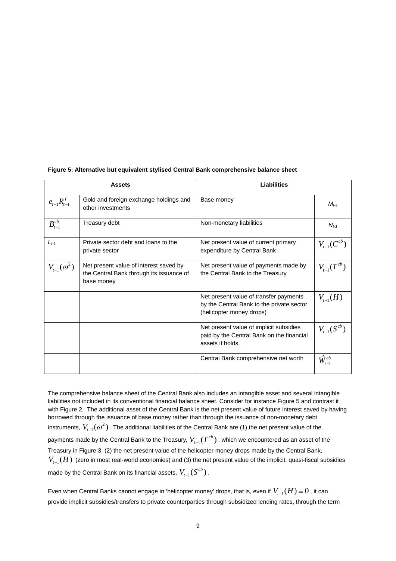| Figure 5: Alternative but equivalent stylised Central Bank comprehensive balance sheet |  |  |
|----------------------------------------------------------------------------------------|--|--|

|                     | <b>Assets</b>                                                                                    | Liabilities                                                                                                     |                      |
|---------------------|--------------------------------------------------------------------------------------------------|-----------------------------------------------------------------------------------------------------------------|----------------------|
| $e_{t-1}R_{t-1}^f$  | Gold and foreign exchange holdings and<br>other investments                                      | Base money                                                                                                      | $M_{t-1}$            |
| $B_{t-1}^{cb}$      | Treasury debt                                                                                    | Non-monetary liabilities                                                                                        | $N_{t-1}$            |
| $L_{t-1}$           | Private sector debt and loans to the<br>private sector                                           | Net present value of current primary<br>expenditure by Central Bank                                             | $V_{t-1}(C^{cb})$    |
| $V_{t-1}(\omega^2)$ | Net present value of interest saved by<br>the Central Bank through its issuance of<br>base money | Net present value of payments made by<br>the Central Bank to the Treasury                                       | $V_{t-1}(T^{cb})$    |
|                     |                                                                                                  | Net present value of transfer payments<br>by the Central Bank to the private sector<br>(helicopter money drops) | $V_{t-1}(H)$         |
|                     |                                                                                                  | Net present value of implicit subsidies<br>paid by the Central Bank on the financial<br>assets it holds.        | $V_{t-1}(S^{cb})$    |
|                     |                                                                                                  | Central Bank comprehensive net worth                                                                            | $\hat{W}^{cb}_{t-1}$ |

The comprehensive balance sheet of the Central Bank also includes an intangible asset and several intangible liabilities not included in its conventional financial balance sheet. Consider for instance Figure 5 and contrast it with Figure 2. The additional asset of the Central Bank is the net present value of future interest saved by having borrowed through the issuance of base money rather than through the issuance of non-monetary debt instruments,  $V_{t-1}(\omega^2)$  . The additional liabilities of the Central Bank are (1) the net present value of the payments made by the Central Bank to the Treasury,  $V_{t-1}(T^{cb})$ , which we encountered as an asset of the Treasury in Figure 3, (2) the net present value of the helicopter money drops made by the Central Bank,  $V_{t-1}(H)$  (zero in most real-world economies) and (3) the net present value of the implicit, quasi-fiscal subsidies made by the Central Bank on its financial assets,  $V_{t-1}(S^{cb})$ .

Even when Central Banks cannot engage in 'helicopter money' drops, that is, even if  $V_{t-1}(H) \equiv 0$ , it can provide implicit subsidies/transfers to private counterparties through subsidized lending rates, through the term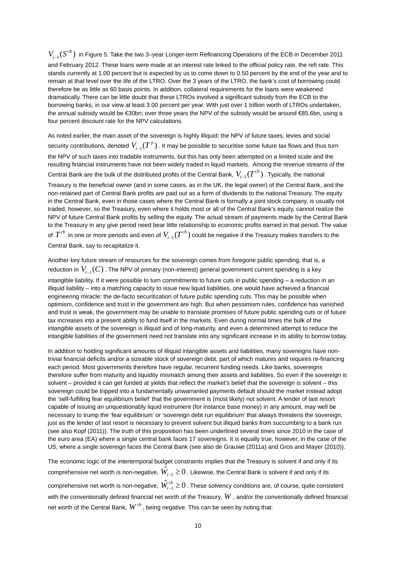$V_{t-1}(S^{cb})$  in Figure 5. Take the two 3–year Longer-term Refinancing Operations of the ECB in December 2011 and February 2012. These loans were made at an interest rate linked to the official policy rate, the refi rate. This stands currently at 1.00 percent but is expected by us to come down to 0.50 percent by the end of the year and to remain at that level over the life of the LTRO. Over the 3 years of the LTRO, the bank's cost of borrowing could therefore be as little as 60 basis points. In addition, collateral requirements for the loans were weakened dramatically. There can be little doubt that these LTROs involved a significant subsidy from the ECB to the borrowing banks, in our view at least 3.00 percent per year. With just over 1 trillion worth of LTROs undertaken, the annual subsidy would be €30bn; over three years the NPV of the subsidy would be around €85.6bn, using a four percent discount rate for the NPV calculations.

As noted earlier, the main asset of the sovereign is highly illiquid: the NPV of future taxes, levies and social security contributions, denoted  $V_{t-1}(T^p)$ . It may be possible to securitise some future tax flows and thus turn the NPV of such taxes into tradable instruments, but this has only been attempted on a limited scale and the resulting financial instruments have not been widely traded in liquid markets. Among the revenue streams of the Central Bank are the bulk of the distributed profits of the Central Bank,  $V_{t-1}(T^{cb})$ . Typically, the national

Treasury is the beneficial owner (and in some cases, as in the UK, the legal owner) of the Central Bank, and the non-retained part of Central Bank profits are paid out as a form of dividends to the national Treasury. The equity in the Central Bank, even in those cases where the Central Bank is formally a joint stock company, is usually not traded, however, so the Treasury, even where it holds most or all of the Central Bank's equity, cannot realize the NPV of future Central Bank profits by selling the equity. The actual stream of payments made by the Central Bank to the Treasury in any give period need bear little relationship to economic profits earned in that period. The value of  $T^{cb}$  in one or more periods and even of  $V_{t-1}(T^{cb})$  could be negative if the Treasury makes transfers to the Central Bank, say to recapitalize it.

Another key future stream of resources for the sovereign comes from *foregone* public spending, that is, a reduction in  $V_{t-1}(C)$ . The NPV of primary (non-interest) general government current spending is a key

intangible liability. If it were possible to turn commitments to future cuts in public spending – a reduction in an illiquid liability – into a matching capacity to issue new liquid liabilities, one would have achieved a financial engineering miracle: the de-facto securitization of future public spending cuts. This may be possible when optimism, confidence and trust in the government are high. But when pessimism rules, confidence has vanished and trust is weak, the government may be unable to translate promises of future public spending cuts or of future tax increases into a present ability to fund itself in the markets. Even during normal times the bulk of the intangible assets of the sovereign is illiquid and of long-maturity, and even a determined attempt to reduce the intangible liabilities of the government need not translate into any significant increase in its ability to borrow today.

In addition to holding significant amounts of illiquid intangible assets and liabilities, many sovereigns have nontrivial financial deficits and/or a sizeable stock of sovereign debt, part of which matures and requires re-financing each period. Most governments therefore have regular, recurrent funding needs. Like banks, sovereigns therefore suffer from maturity and liquidity mismatch among their assets and liabilities. So even if the sovereign is solvent – provided it can get funded at yields that reflect the market's belief that the sovereign *is* solvent – this sovereign could be tripped into a fundamentally unwarranted payments default should the market instead adopt the 'self-fulfilling fear equilibrium belief' that the government is (most likely) not solvent. A lender of last resort capable of issuing an unquestionably liquid instrument (for instance base money) in any amount, may well be necessary to trump the 'fear equilibrium' or 'sovereign debt run equilibrium' that always threatens the sovereign, just as the lender of last resort is necessary to prevent solvent but illiquid banks from succumbing to a bank run (see also Kopf (2011)). The truth of this proposition has been underlined several times since 2010 in the case of the euro area (EA) where a single central bank faces 17 sovereigns. It is equally true, however, in the case of the US, where a single sovereign faces the Central Bank (see also de Grauwe (2011a) and Gros and Mayer (2010)).

The economic logic of the intertemporal budget constraints implies that the Treasury is solvent if and only if its comprehensive net worth is non-negative,  $\hat{W}_{t-1} \ge 0$ . Likewise, the Central Bank is solvent if and only if its comprehensive net worth is non-negative,  $\hat{W}_{t-1}^{cb} \geq 0$ . These solvency conditions are, of course, quite consistent with the conventionally defined financial net worth of the Treasury, W, and/or the conventionally defined financial net worth of the Central Bank,  $W^{cb}$ , being negative. This can be seen by noting that: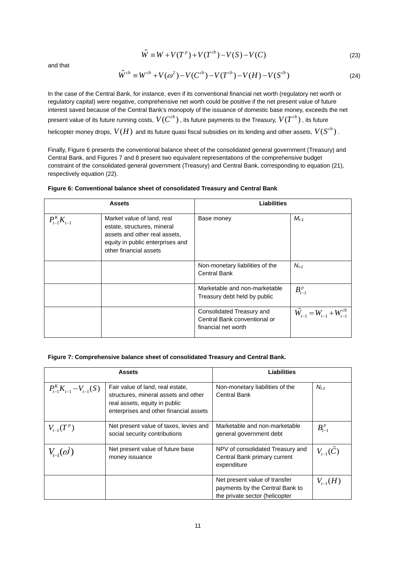$$
\hat{W} \equiv W + V(T^p) + V(T^{cb}) - V(S) - V(C)
$$
\n(23)

and that

$$
\hat{W}^{cb} \equiv W^{cb} + V(\omega^2) - V(C^{cb}) - V(T^{cb}) - V(H) - V(S^{cb})
$$
\n(24)

In the case of the Central Bank, for instance, even if its conventional financial net worth (regulatory net worth or regulatory capital) were negative, comprehensive net worth could be positive if the net present value of future interest saved because of the Central Bank's monopoly of the issuance of domestic base money, exceeds the net present value of its future running costs,  $V(C^{cb})$  , its future payments to the Treasury,  $V(T^{cb})$  , its future helicopter money drops,  $V(H)$  and its future quasi fiscal subsidies on its lending and other assets,  $V(S^{cb})$  .

Finally, Figure 6 presents the conventional balance sheet of the consolidated general government (Treasury) and Central Bank, and Figures 7 and 8 present two equivalent representations of the comprehensive budget constraint of the consolidated general government (Treasury) and Central Bank, corresponding to equation (21), respectively equation (22).

|                     | <b>Assets</b>                                                                                                                                            | Liabilities                                                                      |                                    |
|---------------------|----------------------------------------------------------------------------------------------------------------------------------------------------------|----------------------------------------------------------------------------------|------------------------------------|
| $P_{t-1}^K K_{t-1}$ | Market value of land, real<br>estate, structures, mineral<br>assets and other real assets.<br>equity in public enterprises and<br>other financial assets | Base money                                                                       | $M_{t-1}$                          |
|                     |                                                                                                                                                          | Non-monetary liabilities of the<br><b>Central Bank</b>                           | $N_{t-1}$                          |
|                     |                                                                                                                                                          | Marketable and non-marketable<br>Treasury debt held by public                    | $B_{t-1}^p$                        |
|                     |                                                                                                                                                          | Consolidated Treasury and<br>Central Bank conventional or<br>financial net worth | $W_{t-1} = W_{t-1} + W_{t-1}^{cb}$ |

#### **Figure 6: Conventional balance sheet of consolidated Treasury and Central Bank**

#### **Figure 7: Comprehensive balance sheet of consolidated Treasury and Central Bank.**

|                                 | <b>Assets</b>                                                                                                                                       | Liabilities                                                                                        |              |
|---------------------------------|-----------------------------------------------------------------------------------------------------------------------------------------------------|----------------------------------------------------------------------------------------------------|--------------|
| $P_{t-1}^{K}K_{t-1}-V_{t-1}(S)$ | Fair value of land, real estate,<br>structures, mineral assets and other<br>real assets, equity in public<br>enterprises and other financial assets | Non-monetary liabilities of the<br><b>Central Bank</b>                                             | $N_{t-1}$    |
| $V_{t-1}(T^p)$                  | Net present value of taxes, levies and<br>social security contributions                                                                             | Marketable and non-marketable<br>general government debt                                           | $B_{t-1}^p$  |
| $V_{t-1}(\omega)$               | Net present value of future base<br>money issuance                                                                                                  | NPV of consolidated Treasury and<br>Central Bank primary current<br>expenditure                    | $V_{t-1}(C)$ |
|                                 |                                                                                                                                                     | Net present value of transfer<br>payments by the Central Bank to<br>the private sector (helicopter | $V_{t-1}(H)$ |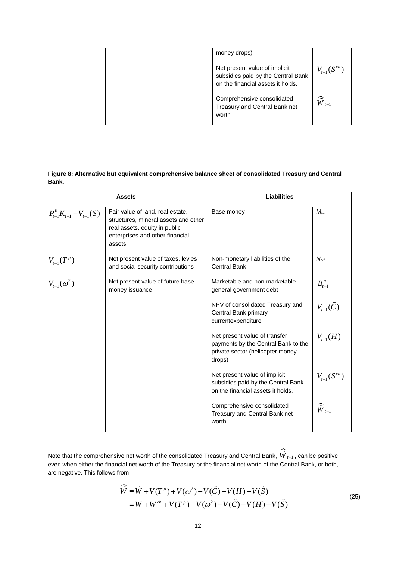|  | money drops)                                                                                             |                   |
|--|----------------------------------------------------------------------------------------------------------|-------------------|
|  | Net present value of implicit<br>subsidies paid by the Central Bank<br>on the financial assets it holds. | $V_{t-1}(S^{cb})$ |
|  | Comprehensive consolidated<br>Treasury and Central Bank net<br>worth                                     | ∕<br>$W_{t-1}$    |

**Figure 8: Alternative but equivalent comprehensive balance sheet of consolidated Treasury and Central Bank.** 

|                                 | <b>Assets</b>                                                                                                                                          | <b>Liabilities</b>                                                                                                 |                             |
|---------------------------------|--------------------------------------------------------------------------------------------------------------------------------------------------------|--------------------------------------------------------------------------------------------------------------------|-----------------------------|
| $P_{t-1}^{K}K_{t-1}-V_{t-1}(S)$ | Fair value of land, real estate,<br>structures, mineral assets and other<br>real assets, equity in public<br>enterprises and other financial<br>assets | Base money                                                                                                         | $M_{t-1}$                   |
| $V_{t-1}(T^p)$                  | Net present value of taxes, levies<br>and social security contributions                                                                                | Non-monetary liabilities of the<br><b>Central Bank</b>                                                             | $N_{t-1}$                   |
| $V_{t-1}(\omega^2)$             | Net present value of future base<br>money issuance                                                                                                     | Marketable and non-marketable<br>general government debt                                                           | $B_{t-1}^p$                 |
|                                 |                                                                                                                                                        | NPV of consolidated Treasury and<br>Central Bank primary<br>currentexpenditure                                     | $V_{t-1}(\tilde{C})$        |
|                                 |                                                                                                                                                        | Net present value of transfer<br>payments by the Central Bank to the<br>private sector (helicopter money<br>drops) | $V_{t-1}(H)$                |
|                                 |                                                                                                                                                        | Net present value of implicit<br>subsidies paid by the Central Bank<br>on the financial assets it holds.           | $V_{t-1}(S^{cb})$           |
|                                 |                                                                                                                                                        | Comprehensive consolidated<br>Treasury and Central Bank net<br>worth                                               | $\widehat{\tilde{W}}_{t-1}$ |

Note that the comprehensive net worth of the consolidated Treasury and Central Bank,  $\widehat{\tilde{W}}_{t-1}$  , can be positive even when either the financial net worth of the Treasury or the financial net worth of the Central Bank, or both, are negative. This follows from

$$
\begin{aligned}\n\widehat{\tilde{W}} & \equiv \tilde{W} + V(T^{\,p}) + V(\omega^2) - V(\tilde{C}) - V(H) - V(\tilde{S}) \\
& = W + W^{cb} + V(T^{\,p}) + V(\omega^2) - V(\tilde{C}) - V(H) - V(\tilde{S})\n\end{aligned} \tag{25}
$$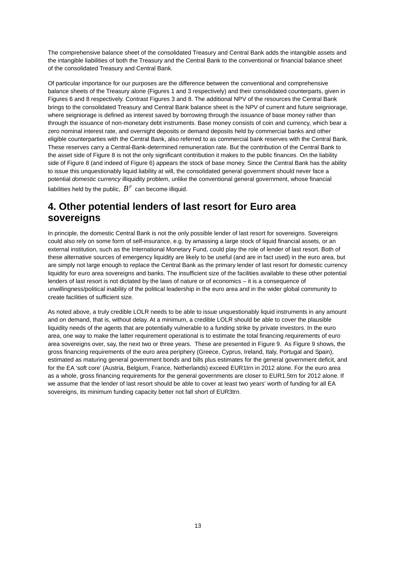The comprehensive balance sheet of the consolidated Treasury and Central Bank adds the intangible assets and the intangible liabilities of both the Treasury and the Central Bank to the conventional or financial balance sheet of the consolidated Treasury and Central Bank.

Of particular importance for our purposes are the difference between the conventional and comprehensive balance sheets of the Treasury alone (Figures 1 and 3 respectively) and their consolidated counterparts, given in Figures 6 and 8 respectively. Contrast Figures 3 and 8. The additional NPV of the resources the Central Bank brings to the consolidated Treasury and Central Bank balance sheet is the NPV of current and future seigniorage, where seigniorage is defined as interest saved by borrowing through the issuance of base money rather than through the issuance of non-monetary debt instruments. Base money consists of coin and currency, which bear a zero nominal interest rate, and overnight deposits or demand deposits held by commercial banks and other eligible counterparties with the Central Bank, also referred to as commercial bank reserves with the Central Bank. These reserves carry a Central-Bank-determined remuneration rate. But the contribution of the Central Bank to the asset side of Figure 8 is not the only significant contribution it makes to the public finances. On the liability side of Figure 8 (and indeed of Figure 6) appears the stock of base money. Since the Central Bank has the ability to issue this unquestionably liquid liability at will, the consolidated general government should never face a potential *domestic currency* illiquidity problem, unlike the conventional general government, whose financial liabilities held by the public,  $B^p$  can become illiquid.

## **4. Other potential lenders of last resort for Euro area sovereigns**

In principle, the domestic Central Bank is not the only possible lender of last resort for sovereigns. Sovereigns could also rely on some form of self-insurance, e.g. by amassing a large stock of liquid financial assets, or an external institution, such as the International Monetary Fund, could play the role of lender of last resort. Both of these alternative sources of emergency liquidity are likely to be useful (and are in fact used) in the euro area, but are simply not large enough to replace the Central Bank as the primary lender of last resort for domestic currency liquidity for euro area sovereigns and banks. The insufficient size of the facilities available to these other potential lenders of last resort is not dictated by the laws of nature or of economics – it is a consequence of unwillingness/political inability of the political leadership in the euro area and in the wider global community to create facilities of sufficient size.

As noted above, a truly credible LOLR needs to be able to issue unquestionably liquid instruments in any amount and on demand, that is, without delay. At a minimum, a credible LOLR should be able to cover the plausible liquidity needs of the agents that are potentially vulnerable to a funding strike by private investors. In the euro area, one way to make the latter requirement operational is to estimate the total financing requirements of euro area sovereigns over, say, the next two or three years. These are presented in Figure 9. As Figure 9 shows, the gross financing requirements of the euro area periphery (Greece, Cyprus, Ireland, Italy, Portugal and Spain), estimated as maturing general government bonds and bills plus estimates for the general government deficit, and for the EA 'soft core' (Austria, Belgium, France, Netherlands) exceed EUR1trn in 2012 alone. For the euro area as a whole, gross financing requirements for the general governments are closer to EUR1.5trn for 2012 alone. If we assume that the lender of last resort should be able to cover at least two years' worth of funding for all EA sovereigns, its minimum funding capacity better not fall short of EUR3trn.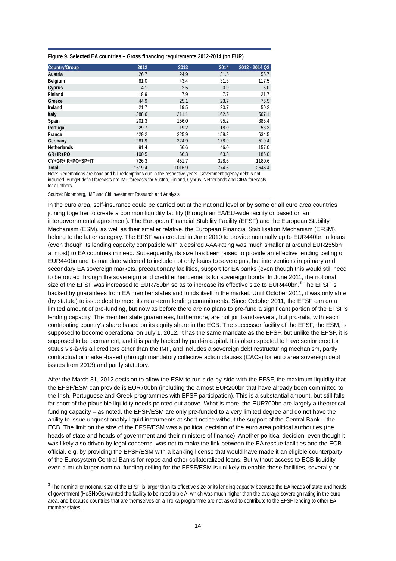| Country/Group      | 2012   | 2013   | 2014  | 2012 - 2014 Q2 |
|--------------------|--------|--------|-------|----------------|
| Austria            | 26.7   | 24.9   | 31.5  | 56.7           |
| Belgium            | 81.0   | 43.4   | 31.3  | 117.5          |
| Cyprus             | 4.1    | 2.5    | 0.9   | 6.0            |
| Finland            | 18.9   | 7.9    | 7.7   | 21.7           |
| Greece             | 44.9   | 25.1   | 23.7  | 76.5           |
| Ireland            | 21.7   | 19.5   | 20.7  | 50.2           |
| Italy              | 388.6  | 211.1  | 162.5 | 567.1          |
| Spain              | 201.3  | 156.0  | 95.2  | 386.4          |
| Portugal           | 29.7   | 19.2   | 18.0  | 53.3           |
| France             | 429.2  | 225.9  | 158.3 | 634.5          |
| Germany            | 281.9  | 224.9  | 178.9 | 519.4          |
| <b>Netherlands</b> | 91.4   | 56.6   | 46.0  | 157.0          |
| $GR+IR+PO$         | 100.5  | 66.3   | 63.3  | 186.0          |
| CY+GR+IR+PO+SP+IT  | 726.3  | 451.7  | 328.6 | 1180.6         |
| Total              | 1619.4 | 1016.9 | 774.6 | 2646.4         |
|                    |        |        |       |                |

Note: Redemptions are bond and bill redemptions due in the respective years. Government agency debt is not included. Budget deficit forecasts are IMF forecasts for Austria, Finland, Cyprus, Netherlands and CIRA forecasts for all others.

Source: Bloomberg, IMF and Citi Investment Research and Analysis

In the euro area, self-insurance could be carried out at the national level or by some or all euro area countries joining together to create a common liquidity facility (through an EA/EU-wide facility or based on an intergovernmental agreement). The European Financial Stability Facility (EFSF) and the European Stability Mechanism (ESM), as well as their smaller relative, the European Financial Stabilisation Mechanism (EFSM), belong to the latter category. The EFSF was created in June 2010 to provide nominally up to EUR440bn in loans (even though its lending capacity compatible with a desired AAA-rating was much smaller at around EUR255bn at most) to EA countries in need. Subsequently, its size has been raised to provide an effective lending ceiling of EUR440bn and its mandate widened to include not only loans to sovereigns, but interventions in primary and secondary EA sovereign markets, precautionary facilities, support for EA banks (even though this would still need to be routed through the sovereign) and credit enhancements for sovereign bonds. In June 2011, the notional size of the EFSF was increased to EUR780bn so as to increase its effective size to EUR440bn.<sup>3</sup> The EFSF is backed by guarantees from EA member states and funds itself in the market. Until October 2011, it was only able (by statute) to issue debt to meet its near-term lending commitments. Since October 2011, the EFSF can do a limited amount of pre-funding, but now as before there are no plans to pre-fund a significant portion of the EFSF's lending capacity. The member state guarantees, furthermore, are not joint-and-several, but pro-rata, with each contributing country's share based on its equity share in the ECB. The successor facility of the EFSF, the ESM, is supposed to become operational on July 1, 2012. It has the same mandate as the EFSF, but unlike the EFSF, it is supposed to be permanent, and it is partly backed by paid-in capital. It is also expected to have senior creditor status vis-à-vis all creditors other than the IMF, and includes a sovereign debt restructuring mechanism, partly contractual or market-based (through mandatory collective action clauses (CACs) for euro area sovereign debt issues from 2013) and partly statutory.

After the March 31, 2012 decision to allow the ESM to run side-by-side with the EFSF, the maximum liquidity that the EFSF/ESM can provide is EUR700bn (including the almost EUR200bn that have already been committed to the Irish, Portuguese and Greek programmes with EFSF participation). This is a substantial amount, but still falls far short of the plausible liquidity needs pointed out above. What is more, the EUR700bn are largely a theoretical funding capacity – as noted, the EFSF/ESM are only pre-funded to a very limited degree and do not have the ability to issue unquestionably liquid instruments at short notice without the support of the Central Bank – the ECB. The limit on the size of the EFSF/ESM was a political decision of the euro area political authorities (the heads of state and heads of government and their ministers of finance). Another political decision, even though it was likely also driven by legal concerns, was not to make the link between the EA rescue facilities and the ECB official, e.g. by providing the EFSF/ESM with a banking license that would have made it an eligible counterparty of the Eurosystem Central Banks for repos and other collateralized loans. But without access to ECB liquidity, even a much larger nominal funding ceiling for the EFSF/ESM is unlikely to enable these facilities, severally or

 3 The nominal or notional size of the EFSF is larger than its effective size or its lending capacity because the EA heads of state and heads of government (HoSHoGs) wanted the facility to be rated triple A, which was much higher than the average sovereign rating in the euro area, and because countries that are themselves on a Troika programme are not asked to contribute to the EFSF lending to other EA member states.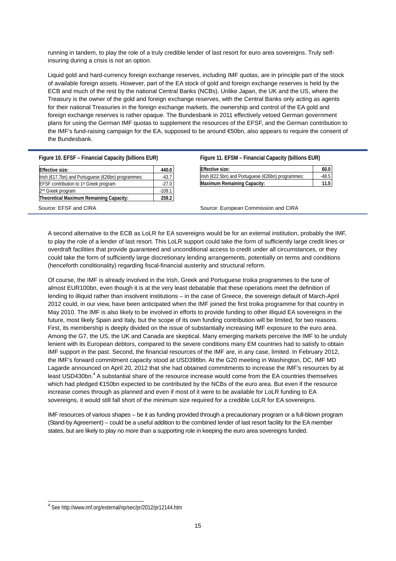running in tandem, to play the role of a truly credible lender of last resort for euro area sovereigns. Truly selfinsuring during a crisis is not an option.

Liquid gold and hard-currency foreign exchange reserves, including IMF quotas, are in principle part of the stock of available foreign assets. However, part of the EA stock of gold and foreign exchange reserves is held by the ECB and much of the rest by the national Central Banks (NCBs). Unlike Japan, the UK and the US, where the Treasury is the owner of the gold and foreign exchange reserves, with the Central Banks only acting as agents for their national Treasuries in the foreign exchange markets, the ownership and control of the EA gold and foreign exchange reserves is rather opaque. The Bundesbank in 2011 effectively vetoed German government plans for using the German IMF quotas to supplement the resources of the EFSF, and the German contribution to the IMF's fund-raising campaign for the EA, supposed to be around €50bn, also appears to require the consent of the Bundesbank.

| <b>Effective size:</b>                             | 440.0    |
|----------------------------------------------------|----------|
| Irish (€17.7bn) and Portuguese (€26bn) programmes: | $-43.7$  |
| <b>EFSF contribution to 1st Greek program</b>      | $-27.0$  |
| 2 <sup>nd</sup> Greek program                      | $-109.1$ |
| Theoretical Maximum Remaining Capacity:            | 259.2    |
|                                                    |          |

#### **Figure 11. EFSM – Financial Capacity (billions EUR)**

| <b>Effective size:</b>                             | 60.0    |
|----------------------------------------------------|---------|
| Irish (€22.5bn) and Portuguese (€26bn) programmes: | $-48.5$ |
| <b>Maximum Remaining Capacity:</b>                 |         |

Source: EFSF and CIRA Source: European Commission and CIRA

A second alternative to the ECB as LoLR for EA sovereigns would be for an external institution, probably the IMF, to play the role of a lender of last resort. This LoLR support could take the form of sufficiently large credit lines or overdraft facilities that provide guaranteed and unconditional access to credit under all circumstances, or they could take the form of sufficiently large discretionary lending arrangements, potentially on terms and conditions (henceforth conditionality) regarding fiscal-financial austerity and structural reform.

Of course, the IMF is already involved in the Irish, Greek and Portuguese troika programmes to the tune of almost EUR100bn, even though it is at the very least debatable that these operations meet the definition of lending to illiquid rather than insolvent institutions – in the case of Greece, the sovereign default of March-April 2012 could, in our view, have been anticipated when the IMF joined the first troika programme for that country in May 2010. The IMF is also likely to be involved in efforts to provide funding to other illiquid EA sovereigns in the future, most likely Spain and Italy, but the scope of its own funding contribution will be limited, for two reasons. First, its membership is deeply divided on the issue of substantially increasing IMF exposure to the euro area. Among the G7, the US, the UK and Canada are skeptical. Many emerging markets perceive the IMF to be unduly lenient with its European debtors, compared to the severe conditions many EM countries had to satisfy to obtain IMF support in the past. Second, the financial resources of the IMF are, in any case, limited. In February 2012, the IMF's forward commitment capacity stood at USD398bn. At the G20 meeting in Washington, DC, IMF MD Lagarde announced on April 20, 2012 that she had obtained commitments to increase the IMF's resources by at least USD430bn.<sup>4</sup> A substantial share of the resource increase would come from the EA countries themselves which had pledged €150bn expected to be contributed by the NCBs of the euro area. But even if the resource increase comes through as planned and even if most of it were to be available for LoLR funding to EA sovereigns, it would still fall short of the minimum size required for a credible LoLR for EA sovereigns.

IMF resources of various shapes – be it as funding provided through a precautionary program or a full-blown program (Stand-by Agreement) – could be a useful addition to the combined lender of last resort facility for the EA member states, but are likely to play no more than a supporting role in keeping the euro area sovereigns funded.

 4 See http://www.imf.org/external/np/sec/pr/2012/pr12144.htm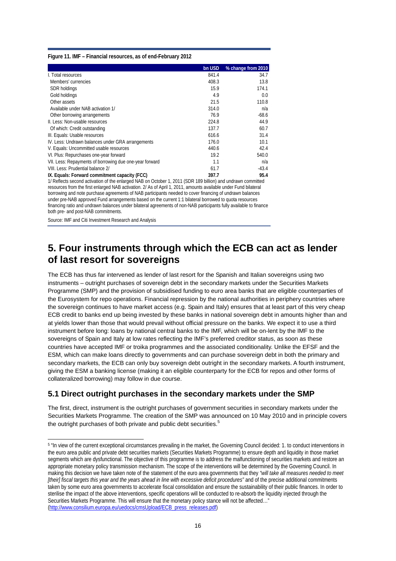| Figure 11. IMF – Financial resources, as of end-February 2012                                                                                                                                                                                         |        |                    |  |  |  |
|-------------------------------------------------------------------------------------------------------------------------------------------------------------------------------------------------------------------------------------------------------|--------|--------------------|--|--|--|
|                                                                                                                                                                                                                                                       | bn USD | % change from 2010 |  |  |  |
| I. Total resources                                                                                                                                                                                                                                    | 841.4  | 34.7               |  |  |  |
| Members' currencies                                                                                                                                                                                                                                   | 408.3  | 13.8               |  |  |  |
| <b>SDR</b> holdings                                                                                                                                                                                                                                   | 15.9   | 174.1              |  |  |  |
| Gold holdings                                                                                                                                                                                                                                         | 4.9    | 0.0                |  |  |  |
| Other assets                                                                                                                                                                                                                                          | 21.5   | 110.8              |  |  |  |
| Available under NAB activation 1/                                                                                                                                                                                                                     | 314.0  | n/a                |  |  |  |
| Other borrowing arrangements                                                                                                                                                                                                                          | 76.9   | $-68.6$            |  |  |  |
| II. Less: Non-usable resources                                                                                                                                                                                                                        | 224.8  | 44.9               |  |  |  |
| Of which: Credit outstanding                                                                                                                                                                                                                          | 137.7  | 60.7               |  |  |  |
| III. Equals: Usable resources                                                                                                                                                                                                                         | 616.6  | 31.4               |  |  |  |
| IV. Less: Undrawn balances under GRA arrangements                                                                                                                                                                                                     | 176.0  | 10.1               |  |  |  |
| V. Equals: Uncommitted usable resources                                                                                                                                                                                                               | 440.6  | 42.4               |  |  |  |
| VI. Plus: Repurchases one-year forward                                                                                                                                                                                                                | 19.2   | 540.0              |  |  |  |
| VII. Less: Repayments of borrowing due one-year forward                                                                                                                                                                                               | 1.1    | n/a                |  |  |  |
| VIII. Less: Prudential balance 2/                                                                                                                                                                                                                     | 61.7   | $-43.4$            |  |  |  |
| IX. Equals: Forward commitment capacity (FCC)                                                                                                                                                                                                         | 397.7  | 95.4               |  |  |  |
| 1/ Reflects second activation of the enlarged NAB on October 1, 2011 (SDR 189 billion) and undrawn committed<br>$\mathcal{C}$ , and $\mathcal{C}$ , and $\mathcal{C}$ , and $\mathcal{C}$ , and $\mathcal{C}$ , and $\mathcal{C}$ , and $\mathcal{C}$ |        |                    |  |  |  |

resources from the first enlarged NAB activation. 2/ As of April 1, 2011, amounts available under Fund bilateral borrowing and note purchase agreements of NAB participants needed to cover financing of undrawn balances under pre-NAB approved Fund arrangements based on the current 1:1 bilateral borrowed to quota resources financing ratio and undrawn balances under bilateral agreements of non-NAB participants fully available to finance both pre- and post-NAB commitments.

Source: IMF and Citi Investment Research and Analysis

-

## **5. Four instruments through which the ECB can act as lender of last resort for sovereigns**

The ECB has thus far intervened as lender of last resort for the Spanish and Italian sovereigns using two instruments – outright purchases of sovereign debt in the secondary markets under the Securities Markets Programme (SMP) and the provision of subsidised funding to euro area banks that are eligible counterparties of the Eurosystem for repo operations. Financial repression by the national authorities in periphery countries where the sovereign continues to have market access (e.g. Spain and Italy) ensures that at least part of this very cheap ECB credit to banks end up being invested by these banks in national sovereign debt in amounts higher than and at yields lower than those that would prevail without official pressure on the banks. We expect it to use a third instrument before long: loans by national central banks to the IMF, which will be on-lent by the IMF to the sovereigns of Spain and Italy at low rates reflecting the IMF's preferred creditor status, as soon as these countries have accepted IMF or troika programmes and the associated conditionality. Unlike the EFSF and the ESM, which can make loans directly to governments and can purchase sovereign debt in both the primary and secondary markets, the ECB can only buy sovereign debt outright in the secondary markets. A fourth instrument. giving the ESM a banking license (making it an eligible counterparty for the ECB for repos and other forms of collateralized borrowing) may follow in due course.

### **5.1 Direct outright purchases in the secondary markets under the SMP**

The first, direct, instrument is the outright purchases of government securities in secondary markets under the Securities Markets Programme. The creation of the SMP was announced on 10 May 2010 and in principle covers the outright purchases of both private and public debt securities.<sup>5</sup>

<sup>5 &</sup>quot;In view of the current exceptional circumstances prevailing in the market, the Governing Council decided: 1. to conduct interventions in the euro area public and private debt securities markets (Securities Markets Programme) to ensure depth and liquidity in those market segments which are dysfunctional. The objective of this programme is to address the malfunctioning of securities markets and restore an appropriate monetary policy transmission mechanism. The scope of the interventions will be determined by the Governing Council. In making this decision we have taken note of the statement of the euro area governments that they *"will take all measures needed to meet [their] fiscal targets this year and the years ahead in line with excessive deficit procedures"* and of the precise additional commitments taken by some euro area governments to accelerate fiscal consolidation and ensure the sustainability of their public finances. In order to sterilise the impact of the above interventions, specific operations will be conducted to re-absorb the liquidity injected through the Securities Markets Programme. This will ensure that the monetary policy stance will not be affected... (http://www.consilium.europa.eu/uedocs/cmsUpload/ECB\_press\_releases.pdf)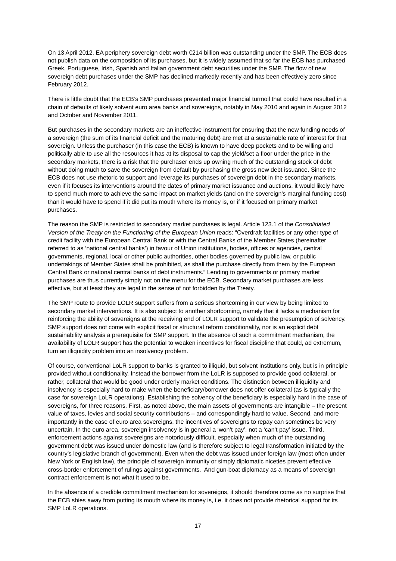On 13 April 2012, EA periphery sovereign debt worth €214 billion was outstanding under the SMP. The ECB does not publish data on the composition of its purchases, but it is widely assumed that so far the ECB has purchased Greek, Portuguese, Irish, Spanish and Italian government debt securities under the SMP. The flow of new sovereign debt purchases under the SMP has declined markedly recently and has been effectively zero since February 2012.

There is little doubt that the ECB's SMP purchases prevented major financial turmoil that could have resulted in a chain of defaults of likely solvent euro area banks and sovereigns, notably in May 2010 and again in August 2012 and October and November 2011.

But purchases in the secondary markets are an ineffective instrument for ensuring that the new funding needs of a sovereign (the sum of its financial deficit and the maturing debt) are met at a sustainable rate of interest for that sovereign. Unless the purchaser (in this case the ECB) is known to have deep pockets and to be willing and politically able to use all the resources it has at its disposal to cap the yield/set a floor under the price in the secondary markets, there is a risk that the purchaser ends up owning much of the outstanding stock of debt without doing much to save the sovereign from default by purchasing the gross new debt issuance. Since the ECB does not use rhetoric to support and leverage its purchases of sovereign debt in the secondary markets, even if it focuses its interventions around the dates of primary market issuance and auctions, it would likely have to spend much more to achieve the same impact on market yields (and on the sovereign's marginal funding cost) than it would have to spend if it did put its mouth where its money is, or if it focused on primary market purchases.

The reason the SMP is restricted to secondary market purchases is legal. Article 123.1 of the *Consolidated Version of the Treaty on the Functioning of the European Union* reads: "Overdraft facilities or any other type of credit facility with the European Central Bank or with the Central Banks of the Member States (hereinafter referred to as 'national central banks') in favour of Union institutions, bodies, offices or agencies, central governments, regional, local or other public authorities, other bodies governed by public law, or public undertakings of Member States shall be prohibited, as shall the purchase directly from them by the European Central Bank or national central banks of debt instruments." Lending to governments or primary market purchases are thus currently simply not on the menu for the ECB. Secondary market purchases are less effective, but at least they are legal in the sense of not forbidden by the Treaty.

The SMP route to provide LOLR support suffers from a serious shortcoming in our view by being limited to secondary market interventions. It is also subject to another shortcoming, namely that it lacks a mechanism for reinforcing the ability of sovereigns at the receiving end of LOLR support to validate the presumption of solvency. SMP support does not come with explicit fiscal or structural reform conditionality, nor is an explicit debt sustainability analysis a prerequisite for SMP support. In the absence of such a commitment mechanism, the availability of LOLR support has the potential to weaken incentives for fiscal discipline that could, ad extremum, turn an illiquidity problem into an insolvency problem.

Of course, conventional LoLR support to banks is granted to illiquid, but solvent institutions only, but is in principle provided without conditionality. Instead the borrower from the LoLR is supposed to provide good collateral, or rather, collateral that would be good under orderly market conditions. The distinction between illiquidity and insolvency is especially hard to make when the beneficiary/borrower does not offer collateral (as is typically the case for sovereign LoLR operations). Establishing the solvency of the beneficiary is especially hard in the case of sovereigns, for three reasons. First, as noted above, the main assets of governments are intangible – the present value of taxes, levies and social security contributions – and correspondingly hard to value. Second, and more importantly in the case of euro area sovereigns, the incentives of sovereigns to repay can sometimes be very uncertain. In the euro area, sovereign insolvency is in general a 'won't pay', not a 'can't pay' issue. Third, enforcement actions against sovereigns are notoriously difficult, especially when much of the outstanding government debt was issued under domestic law (and is therefore subject to legal transformation initiated by the country's legislative branch of government). Even when the debt was issued under foreign law (most often under New York or English law), the principle of sovereign immunity or simply diplomatic niceties prevent effective cross-border enforcement of rulings against governments. And gun-boat diplomacy as a means of sovereign contract enforcement is not what it used to be.

In the absence of a credible commitment mechanism for sovereigns, it should therefore come as no surprise that the ECB shies away from putting its mouth where its money is, i.e. it does not provide rhetorical support for its SMP LoLR operations.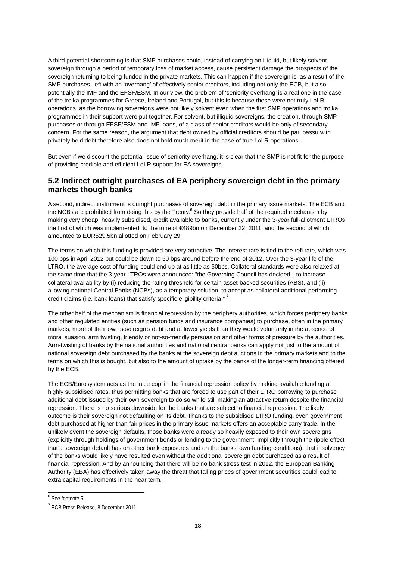A third potential shortcoming is that SMP purchases could, instead of carrying an illiquid, but likely solvent sovereign through a period of temporary loss of market access, cause persistent damage the prospects of the sovereign returning to being funded in the private markets. This can happen if the sovereign is, as a result of the SMP purchases, left with an 'overhang' of effectively senior creditors, including not only the ECB, but also potentially the IMF and the EFSF/ESM. In our view, the problem of 'seniority overhang' is a real one in the case of the troika programmes for Greece, Ireland and Portugal, but this is because these were not truly LoLR operations, as the borrowing sovereigns were not likely solvent even when the first SMP operations and troika programmes in their support were put together. For solvent, but illiquid sovereigns, the creation, through SMP purchases or through EFSF/ESM and IMF loans, of a class of senior creditors would be only of secondary concern. For the same reason, the argument that debt owned by official creditors should be pari passu with privately held debt therefore also does not hold much merit in the case of true LoLR operations.

But even if we discount the potential issue of seniority overhang, it is clear that the SMP is not fit for the purpose of providing credible and efficient LoLR support for EA sovereigns.

### **5.2 Indirect outright purchases of EA periphery sovereign debt in the primary markets though banks**

A second, indirect instrument is outright purchases of sovereign debt in the primary issue markets. The ECB and the NCBs are prohibited from doing this by the Treaty.<sup>6</sup> So they provide half of the required mechanism by making very cheap, heavily subsidised, credit available to banks, currently under the 3-year full-allotment LTROs, the first of which was implemented, to the tune of €489bn on December 22, 2011, and the second of which amounted to EUR529.5bn allotted on February 29.

The terms on which this funding is provided are very attractive. The interest rate is tied to the refi rate, which was 100 bps in April 2012 but could be down to 50 bps around before the end of 2012. Over the 3-year life of the LTRO, the average cost of funding could end up at as little as 60bps. Collateral standards were also relaxed at the same time that the 3-year LTROs were announced: "the Governing Council has decided…to increase collateral availability by (i) reducing the rating threshold for certain asset-backed securities (ABS), and (ii) allowing national Central Banks (NCBs), as a temporary solution, to accept as collateral additional performing credit claims (i.e. bank loans) that satisfy specific eligibility criteria."<sup>7</sup>

The other half of the mechanism is financial repression by the periphery authorities, which forces periphery banks and other regulated entities (such as pension funds and insurance companies) to purchase, often in the primary markets, more of their own sovereign's debt and at lower yields than they would voluntarily in the absence of moral suasion, arm twisting, friendly or not-so-friendly persuasion and other forms of pressure by the authorities. Arm-twisting of banks by the national authorities and national central banks can apply not just to the amount of national sovereign debt purchased by the banks at the sovereign debt auctions in the primary markets and to the terms on which this is bought, but also to the amount of uptake by the banks of the longer-term financing offered by the ECB.

The ECB/Eurosystem acts as the 'nice cop' in the financial repression policy by making available funding at highly subsidised rates, thus permitting banks that are forced to use part of their LTRO borrowing to purchase additional debt issued by their own sovereign to do so while still making an attractive return despite the financial repression. There is no serious downside for the banks that are subject to financial repression. The likely outcome is their sovereign not defaulting on its debt. Thanks to the subsidised LTRO funding, even government debt purchased at higher than fair prices in the primary issue markets offers an acceptable carry trade. In the unlikely event the sovereign defaults, those banks were already so heavily exposed to their own sovereigns (explicitly through holdings of government bonds or lending to the government, implicitly through the ripple effect that a sovereign default has on other bank exposures and on the banks' own funding conditions), that insolvency of the banks would likely have resulted even without the additional sovereign debt purchased as a result of financial repression. And by announcing that there will be no bank stress test in 2012, the European Banking Authority (EBA) has effectively taken away the threat that falling prices of government securities could lead to extra capital requirements in the near term.

 6 See footnote 5.

<sup>&</sup>lt;sup>7</sup> ECB Press Release, 8 December 2011.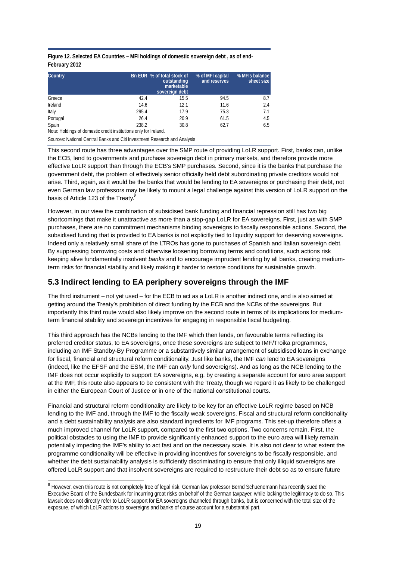**Figure 12. Selected EA Countries – MFI holdings of domestic sovereign debt , as of end-February 2012** 

| Country                                                          |       | Bn EUR % of total stock of<br>outstanding<br>marketable<br>sovereign debt | % of MFI capital<br>and reserves | % MFIs balance<br>sheet size |
|------------------------------------------------------------------|-------|---------------------------------------------------------------------------|----------------------------------|------------------------------|
| Greece                                                           | 42.4  | 15.5                                                                      | 94.5                             | 8.7                          |
| Ireland                                                          | 14.6  | 12.1                                                                      | 11.6                             | 2.4                          |
| Italy                                                            | 295.4 | 17.9                                                                      | 75.3                             | 7.1                          |
| Portugal                                                         | 26.4  | 20.9                                                                      | 61.5                             | 4.5                          |
| Spain                                                            | 238.2 | 30.8                                                                      | 62.7                             | 6.5                          |
| Note: Holdings of domestic credit institutions only for Ireland. |       |                                                                           |                                  |                              |

Sources: National Central Banks and Citi Investment Research and Analysis

This second route has three advantages over the SMP route of providing LoLR support. First, banks can, unlike the ECB, lend to governments and purchase sovereign debt in primary markets, and therefore provide more effective LoLR support than through the ECB's SMP purchases. Second, since it is the banks that purchase the government debt, the problem of effectively senior officially held debt subordinating private creditors would not arise. Third, again, as it would be the banks that would be lending to EA sovereigns or purchasing their debt, not even German law professors may be likely to mount a legal challenge against this version of LoLR support on the basis of Article 123 of the Treaty.<sup>8</sup>

However, in our view the combination of subsidised bank funding and financial repression still has two big shortcomings that make it unattractive as more than a stop-gap LoLR for EA sovereigns. First, just as with SMP purchases, there are no commitment mechanisms binding sovereigns to fiscally responsible actions. Second, the subsidised funding that is provided to EA banks is not explicitly tied to liquidity support for deserving sovereigns. Indeed only a relatively small share of the LTROs has gone to purchases of Spanish and Italian sovereign debt. By suppressing borrowing costs and otherwise loosening borrowing terms and conditions, such actions risk keeping alive fundamentally insolvent *banks* and to encourage imprudent lending by all banks, creating mediumterm risks for financial stability and likely making it harder to restore conditions for sustainable growth.

### **5.3 Indirect lending to EA periphery sovereigns through the IMF**

The third instrument – not yet used – for the ECB to act as a LoLR is another indirect one, and is also aimed at getting around the Treaty's prohibition of direct funding by the ECB and the NCBs of the sovereigns. But importantly this third route would also likely improve on the second route in terms of its implications for mediumterm financial stability and sovereign incentives for engaging in responsible fiscal budgeting.

This third approach has the NCBs lending to the IMF which then lends, on favourable terms reflecting its preferred creditor status, to EA sovereigns, once these sovereigns are subject to IMF/Troika programmes, including an IMF Standby-By Programme or a substantively similar arrangement of subsidised loans in exchange for fiscal, financial and structural reform conditionality. Just like banks, the IMF *can* lend to EA sovereigns (indeed, like the EFSF and the ESM, the IMF can *only* fund sovereigns). And as long as the NCB lending to the IMF does not occur explicitly to support EA sovereigns, e.g. by creating a separate account for euro area support at the IMF, this route also appears to be consistent with the Treaty, though we regard it as likely to be challenged in either the European Court of Justice or in one of the national constitutional courts.

Financial and structural reform conditionality are likely to be key for an effective LoLR regime based on NCB lending to the IMF and, through the IMF to the fiscally weak sovereigns. Fiscal and structural reform conditionality and a debt sustainability analysis are also standard ingredients for IMF programs. This set-up therefore offers a much improved channel for LoLR support, compared to the first two options. Two concerns remain. First, the political obstacles to using the IMF to provide significantly enhanced support to the euro area will likely remain, potentially impeding the IMF's ability to act fast and on the necessary scale. It is also not clear to what extent the programme conditionality will be effective in providing incentives for sovereigns to be fiscally responsible, and whether the debt sustainability analysis is sufficiently discriminating to ensure that only illiquid sovereigns are offered LoLR support and that insolvent sovereigns are required to restructure their debt so as to ensure future

<sup>–&</sup>lt;br><sup>8</sup> However, even this route is not completely free of legal risk. German law professor Bernd Schuenemann has recently sued the Executive Board of the Bundesbank for incurring great risks on behalf of the German taxpayer, while lacking the legitimacy to do so. This lawsuit does not directly refer to LoLR support for EA sovereigns channeled through banks, but is concerned with the total size of the exposure, of which LoLR actions to sovereigns and banks of course account for a substantial part.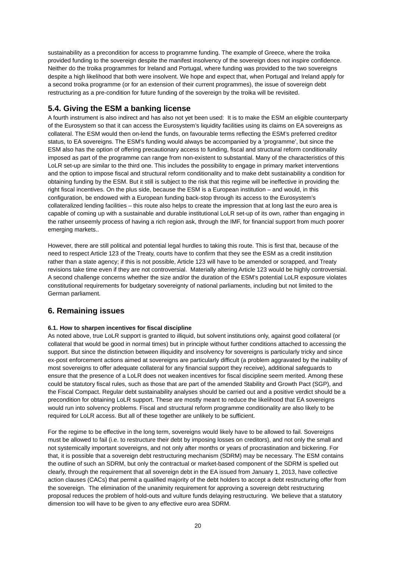sustainability as a precondition for access to programme funding. The example of Greece, where the troika provided funding to the sovereign despite the manifest insolvency of the sovereign does not inspire confidence. Neither do the troika programmes for Ireland and Portugal, where funding was provided to the two sovereigns despite a high likelihood that both were insolvent. We hope and expect that, when Portugal and Ireland apply for a second troika programme (or for an extension of their current programmes), the issue of sovereign debt restructuring as a pre-condition for future funding of the sovereign by the troika will be revisited.

### **5.4. Giving the ESM a banking license**

A fourth instrument is also indirect and has also not yet been used: It is to make the ESM an eligible counterparty of the Eurosystem so that it can access the Eurosystem's liquidity facilities using its claims on EA sovereigns as collateral. The ESM would then on-lend the funds, on favourable terms reflecting the ESM's preferred creditor status, to EA sovereigns. The ESM's funding would always be accompanied by a 'programme', but since the ESM also has the option of offering precautionary access to funding, fiscal and structural reform conditionality imposed as part of the programme can range from non-existent to substantial. Many of the characteristics of this LoLR set-up are similar to the third one. This includes the possibility to engage in primary market interventions and the option to impose fiscal and structural reform conditionality and to make debt sustainability a condition for obtaining funding by the ESM. But it still is subject to the risk that this regime will be ineffective in providing the right fiscal incentives. On the plus side, because the ESM is a European institution – and would, in this configuration, be endowed with a European funding back-stop through its access to the Eurosystem's collateralized lending facilities – this route also helps to create the impression that at long last the euro area is capable of coming up with a sustainable and durable institutional LoLR set-up of its own, rather than engaging in the rather unseemly process of having a rich region ask, through the IMF, for financial support from much poorer emerging markets..

However, there are still political and potential legal hurdles to taking this route. This is first that, because of the need to respect Article 123 of the Treaty, courts have to confirm that they see the ESM as a credit institution rather than a state agency; if this is not possible, Article 123 will have to be amended or scrapped, and Treaty revisions take time even if they are not controversial. Materially altering Article 123 would be highly controversial. A second challenge concerns whether the size and/or the duration of the ESM's potential LoLR exposure violates constitutional requirements for budgetary sovereignty of national parliaments, including but not limited to the German parliament.

### **6. Remaining issues**

#### **6.1. How to sharpen incentives for fiscal discipline**

As noted above, true LoLR support is granted to illiquid, but solvent institutions only, against good collateral (or collateral that would be good in normal times) but in principle without further conditions attached to accessing the support. But since the distinction between illiquidity and insolvency for sovereigns is particularly tricky and since ex-post enforcement actions aimed at sovereigns are particularly difficult (a problem aggravated by the inability of most sovereigns to offer adequate collateral for any financial support they receive), additional safeguards to ensure that the presence of a LoLR does not weaken incentives for fiscal discipline seem merited. Among these could be statutory fiscal rules, such as those that are part of the amended Stability and Growth Pact (SGP), and the Fiscal Compact. Regular debt sustainability analyses should be carried out and a positive verdict should be a precondition for obtaining LoLR support. These are mostly meant to reduce the likelihood that EA sovereigns would run into solvency problems. Fiscal and structural reform programme conditionality are also likely to be required for LoLR access. But all of these together are unlikely to be sufficient.

For the regime to be effective in the long term, sovereigns would likely have to be allowed to fail. Sovereigns must be allowed to fail (i.e. to restructure their debt by imposing losses on creditors), and not only the small and not systemically important sovereigns, and not only after months or years of procrastination and bickering. For that, it is possible that a sovereign debt restructuring mechanism (SDRM) may be necessary. The ESM contains the outline of such an SDRM, but only the contractual or market-based component of the SDRM is spelled out clearly, through the requirement that all sovereign debt in the EA issued from January 1, 2013, have collective action clauses (CACs) that permit a qualified majority of the debt holders to accept a debt restructuring offer from the sovereign. The elimination of the unanimity requirement for approving a sovereign debt restructuring proposal reduces the problem of hold-outs and vulture funds delaying restructuring. We believe that a statutory dimension too will have to be given to any effective euro area SDRM.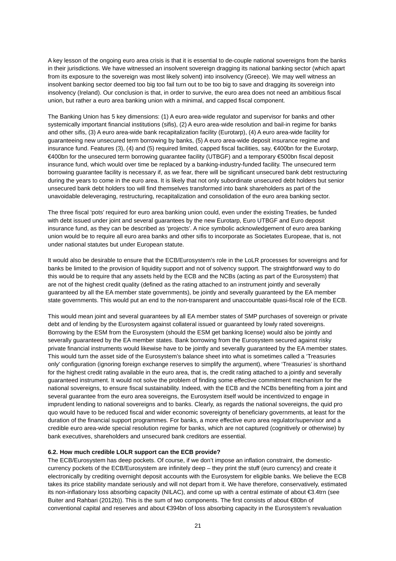A key lesson of the ongoing euro area crisis is that it is essential to de-couple national sovereigns from the banks in their jurisdictions. We have witnessed an insolvent sovereign dragging its national banking sector (which apart from its exposure to the sovereign was most likely solvent) into insolvency (Greece). We may well witness an insolvent banking sector deemed too big too fail turn out to be too big to save and dragging its sovereign into insolvency (Ireland). Our conclusion is that, in order to survive, the euro area does not need an ambitious fiscal union, but rather a euro area banking union with a minimal, and capped fiscal component.

The Banking Union has 5 key dimensions: (1) A euro area-wide regulator and supervisor for banks and other systemically important financial institutions (sifis), (2) A euro area-wide resolution and bail-in regime for banks and other sifis, (3) A euro area-wide bank recapitalization facility (Eurotarp), (4) A euro area-wide facility for guaranteeing new unsecured term borrowing by banks, (5) A euro area-wide deposit insurance regime and insurance fund. Features (3), (4) and (5) required limited, capped fiscal facilities, say, €400bn for the Eurotarp, €400bn for the unsecured term borrowing guarantee facility (UTBGF) and a temporary €500bn fiscal deposit insurance fund, which would over time be replaced by a banking-industry-funded facility. The unsecured term borrowing guarantee facility is necessary if, as we fear, there will be significant unsecured bank debt restructuring during the years to come in the euro area. It is likely that not only subordinate unsecured debt holders but senior unsecured bank debt holders too will find themselves transformed into bank shareholders as part of the unavoidable deleveraging, restructuring, recapitalization and consolidation of the euro area banking sector.

The three fiscal 'pots' required for euro area banking union could, even under the existing Treaties, be funded with debt issued under joint and several guarantees by the new Eurotarp, Euro UTBGF and Euro deposit insurance fund, as they can be described as 'projects'. A nice symbolic acknowledgement of euro area banking union would be to require all euro area banks and other sifis to incorporate as Societates Europeae, that is, not under national statutes but under European statute.

It would also be desirable to ensure that the ECB/Eurosystem's role in the LoLR processes for sovereigns and for banks be limited to the provision of liquidity support and not of solvency support. The straightforward way to do this would be to require that any assets held by the ECB and the NCBs (acting as part of the Eurosystem) that are not of the highest credit quality (defined as the rating attached to an instrument jointly and severally guaranteed by all the EA member state governments), be jointly and severally guaranteed by the EA member state governments. This would put an end to the non-transparent and unaccountable quasi-fiscal role of the ECB.

This would mean joint and several guarantees by all EA member states of SMP purchases of sovereign or private debt and of lending by the Eurosystem against collateral issued or guaranteed by lowly rated sovereigns. Borrowing by the ESM from the Eurosystem (should the ESM get banking license) would also be jointly and severally guaranteed by the EA member states. Bank borrowing from the Eurosystem secured against risky private financial instruments would likewise have to be jointly and severally guaranteed by the EA member states. This would turn the asset side of the Eurosystem's balance sheet into what is sometimes called a 'Treasuries only' configuration (ignoring foreign exchange reserves to simplify the argument), where 'Treasuries' is shorthand for the highest credit rating available in the euro area, that is, the credit rating attached to a jointly and severally guaranteed instrument. It would not solve the problem of finding some effective commitment mechanism for the national sovereigns, to ensure fiscal sustainability. Indeed, with the ECB and the NCBs benefiting from a joint and several guarantee from the euro area sovereigns, the Eurosystem itself would be incentivized to engage in imprudent lending to national sovereigns and to banks. Clearly, as regards the national sovereigns, the quid pro quo would have to be reduced fiscal and wider economic sovereignty of beneficiary governments, at least for the duration of the financial support programmes. For banks, a more effective euro area regulator/supervisor and a credible euro area-wide special resolution regime for banks, which are not captured (cognitively or otherwise) by bank executives, shareholders and unsecured bank creditors are essential.

#### **6.2. How much credible LOLR support can the ECB provide?**

The ECB/Eurosystem has deep pockets. Of course, if we don't impose an inflation constraint, the domesticcurrency pockets of the ECB/Eurosystem are infinitely deep – they print the stuff (euro currency) and create it electronically by crediting overnight deposit accounts with the Eurosystem for eligible banks. We believe the ECB takes its price stability mandate seriously and will not depart from it. We have therefore, conservatively, estimated its non-inflationary loss absorbing capacity (NILAC), and come up with a central estimate of about €3.4trn (see Buiter and Rahbari (2012b)). This is the sum of two components. The first consists of about €80bn of conventional capital and reserves and about €394bn of loss absorbing capacity in the Eurosystem's revaluation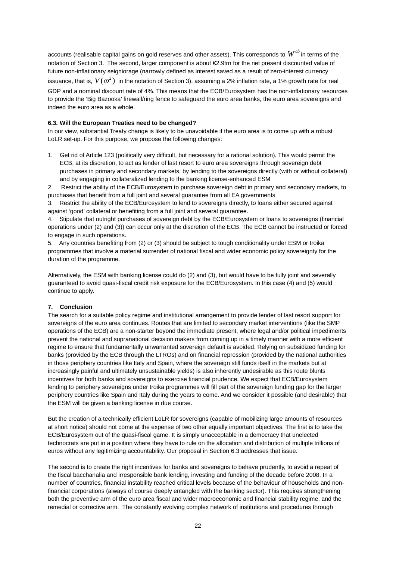accounts (realisable capital gains on gold reserves and other assets). This corresponds to  $W^{cb}$  in terms of the notation of Section 3. The second, larger component is about €2.9trn for the net present discounted value of future non-inflationary seigniorage (narrowly defined as interest saved as a result of zero-interest currency issuance, that is,  $V(\omega^2)$  in the notation of Section 3), assuming a 2% inflation rate, a 1% growth rate for real GDP and a nominal discount rate of 4%. This means that the ECB/Eurosystem has the non-inflationary resources to provide the 'Big Bazooka' firewall/ring fence to safeguard the euro area banks, the euro area sovereigns and indeed the euro area as a whole.

#### **6.3. Will the European Treaties need to be changed?**

In our view, substantial Treaty change is likely to be unavoidable if the euro area is to come up with a robust LoLR set-up. For this purpose, we propose the following changes:

1. Get rid of Article 123 (politically very difficult, but necessary for a rational solution). This would permit the ECB, at its discretion, to act as lender of last resort to euro area sovereigns through sovereign debt purchases in primary and secondary markets, by lending to the sovereigns directly (with or without collateral) and by engaging in collateralized lending to the banking license-enhanced ESM

2. Restrict the ability of the ECB/Eurosystem to purchase sovereign debt in primary and secondary markets, to purchases that benefit from a full joint and several guarantee from all EA governments

3. Restrict the ability of the ECB/Eurosystem to lend to sovereigns directly, to loans either secured against against 'good' collateral or benefiting from a full joint and several guarantee.

4. Stipulate that outright purchases of sovereign debt by the ECB/Eurosystem or loans to sovereigns (financial operations under (2) and (3)) can occur only at the discretion of the ECB. The ECB cannot be instructed or forced to engage in such operations.

5. Any countries benefiting from (2) or (3) should be subject to tough conditionality under ESM or troika programmes that involve a material surrender of national fiscal and wider economic policy sovereignty for the duration of the programme.

Alternatively, the ESM with banking license could do (2) and (3), but would have to be fully joint and severally guaranteed to avoid quasi-fiscal credit risk exposure for the ECB/Eurosystem. In this case (4) and (5) would continue to apply.

#### **7. Conclusion**

The search for a suitable policy regime and institutional arrangement to provide lender of last resort support for sovereigns of the euro area continues. Routes that are limited to secondary market interventions (like the SMP operations of the ECB) are a non-starter beyond the immediate present, where legal and/or political impediments prevent the national and supranational decision makers from coming up in a timely manner with a more efficient regime to ensure that fundamentally unwarranted sovereign default is avoided. Relying on subsidized funding for banks (provided by the ECB through the LTROs) and on financial repression (provided by the national authorities in those periphery countries like Italy and Spain, where the sovereign still funds itself in the markets but at increasingly painful and ultimately unsustainable yields) is also inherently undesirable as this route blunts incentives for both banks and sovereigns to exercise financial prudence. We expect that ECB/Eurosystem lending to periphery sovereigns under troika programmes will fill part of the sovereign funding gap for the larger periphery countries like Spain and Italy during the years to come. And we consider it possible (and desirable) that the ESM will be given a banking license in due course.

But the creation of a technically efficient LoLR for sovereigns (capable of mobilizing large amounts of resources at short notice) should not come at the expense of two other equally important objectives. The first is to take the ECB/Eurosystem out of the quasi-fiscal game. It is simply unacceptable in a democracy that unelected technocrats are put in a position where they have to rule on the allocation and distribution of multiple trillions of euros without any legitimizing accountability. Our proposal in Section 6.3 addresses that issue.

The second is to create the right incentives for banks and sovereigns to behave prudently, to avoid a repeat of the fiscal bacchanalia and irresponsible bank lending, investing and funding of the decade before 2008. In a number of countries, financial instability reached critical levels because of the behaviour of households and nonfinancial corporations (always of course deeply entangled with the banking sector). This requires strengthening both the preventive arm of the euro area fiscal and wider macroeconomic and financial stability regime, and the remedial or corrective arm. The constantly evolving complex network of institutions and procedures through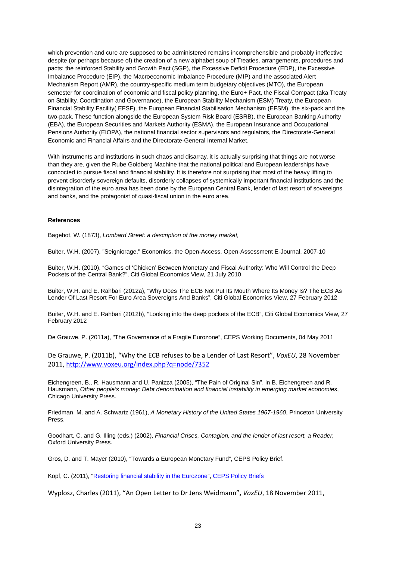which prevention and cure are supposed to be administered remains incomprehensible and probably ineffective despite (or perhaps because of) the creation of a new alphabet soup of Treaties, arrangements, procedures and pacts: the reinforced Stability and Growth Pact (SGP), the Excessive Deficit Procedure (EDP), the Excessive Imbalance Procedure (EIP), the Macroeconomic Imbalance Procedure (MIP) and the associated Alert Mechanism Report (AMR), the country-specific medium term budgetary objectives (MTO), the European semester for coordination of economic and fiscal policy planning, the Euro+ Pact, the Fiscal Compact (aka Treaty on Stability, Coordination and Governance), the European Stability Mechanism (ESM) Treaty, the European Financial Stability Facility( EFSF), the European Financial Stabilisation Mechanism (EFSM), the six-pack and the two-pack. These function alongside the European System Risk Board (ESRB), the European Banking Authority (EBA), the European Securities and Markets Authority (ESMA), the European Insurance and Occupational Pensions Authority (EIOPA), the national financial sector supervisors and regulators, the Directorate-General Economic and Financial Affairs and the Directorate-General Internal Market.

With instruments and institutions in such chaos and disarray, it is actually surprising that things are not worse than they are, given the Rube Goldberg Machine that the national political and European leaderships have concocted to pursue fiscal and financial stability. It is therefore not surprising that most of the heavy lifting to prevent disorderly sovereign defaults, disorderly collapses of systemically important financial institutions and the disintegration of the euro area has been done by the European Central Bank, lender of last resort of sovereigns and banks, and the protagonist of quasi-fiscal union in the euro area.

#### **References**

Bagehot, W. (1873), *Lombard Street: a description of the money market,* 

Buiter, W.H. (2007), "Seigniorage," Economics, the Open-Access, Open-Assessment E-Journal, 2007-10

Buiter, W.H. (2010), "Games of 'Chicken' Between Monetary and Fiscal Authority: Who Will Control the Deep Pockets of the Central Bank?", Citi Global Economics View, 21 July 2010

Buiter, W.H. and E. Rahbari (2012a), "Why Does The ECB Not Put Its Mouth Where Its Money Is? The ECB As Lender Of Last Resort For Euro Area Sovereigns And Banks", Citi Global Economics View, 27 February 2012

Buiter, W.H. and E. Rahbari (2012b), "Looking into the deep pockets of the ECB", Citi Global Economics View, 27 February 2012

De Grauwe, P. (2011a), "The Governance of a Fragile Eurozone", CEPS Working Documents, 04 May 2011

De Grauwe, P. (2011b), "Why the ECB refuses to be a Lender of Last Resort", *VoxEU*, 28 November 2011, http://www.voxeu.org/index.php?q=node/7352

Eichengreen, B., R. Hausmann and U. Panizza (2005), "The Pain of Original Sin", in B. Eichengreen and R. Hausmann, *Other people's money: Debt denomination and financial instability in emerging market economies*, Chicago University Press.

Friedman, M. and A. Schwartz (1961), *A Monetary History of the United States 1967-1960*, Princeton University Press.

Goodhart, C. and G. Illing (eds.) (2002), *Financial Crises, Contagion, and the lender of last resort, a Reader,*  Oxford University Press.

Gros, D. and T. Mayer (2010), "Towards a European Monetary Fund", CEPS Policy Brief.

Kopf, C. (2011), "Restoring financial stability in the Eurozone", CEPS Policy Briefs

Wyplosz, Charles (2011), "An Open Letter to Dr Jens Weidmann"**,** *VoxEU*, 18 November 2011,